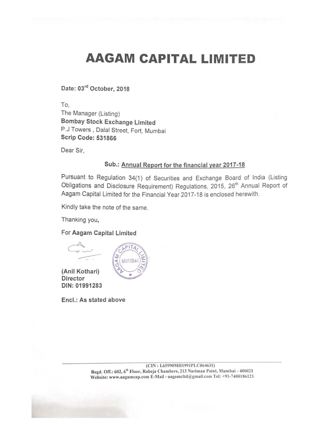## AAGAM CAPITAL LIMITED

Date: 03rd October, 2018

To,

The Manager (Listing) Bombay Stock Exchange Limited P.J Towers , Dalal Street, Fort, Mumbai Scrip Code: 531866

Dear Sir,

#### Sub.: Annual Report for the financial year 2017-18

Pursuant to Regulation 34(1) of Securities and Exchange Board of india (Listing Obligations and Disclosure Requirement) Regulations, 2015, 26<sup>th</sup> Annual Report of Aagam Capital Limited for the Financial Year 2017-18 is enclosed herewith.

Kindly take the note of the same.

 $PITA$ 

**MUMBA** 

Thanking you,

For Aagam Capital Limited



(Anil Kothari) Director DIN: 01991283

Encl.: As stated above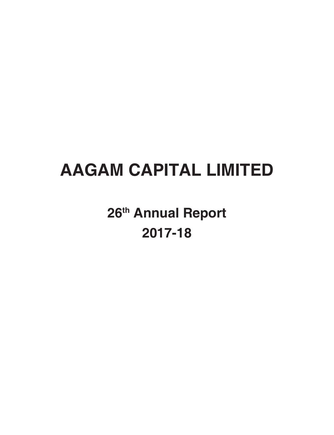# **AAGAM CAPITAL LIMITED**

**26th Annual Report 2017-18**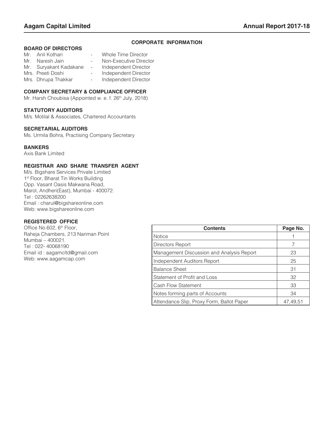#### **CORPORATE INFORMATION**

#### **BOARD OF DIRECTORS**

| Mr. | Anil Kothari           |            | Whole Time Director    |
|-----|------------------------|------------|------------------------|
| Mr. | Naresh Jain            | $\sim$ $-$ | Non-Executive Director |
|     | Mr. Suryakant Kadakane | $\sim$     | Independent Director   |
|     | Mrs. Preeti Doshi      | $\sim$     | Independent Director   |
|     | Mrs. Dhrupa Thakkar    | $\sim$ $-$ | Independent Director   |

#### **COMPANY SECRETARY & COMPLIANCE OFFICER**

Mr. Harsh Choubisa (Appointed w. e. f. 26<sup>th</sup> July, 2018)

#### **STATUTORY AUDITORS**

M/s. Motilal & Associates, Chartered Accountants

#### **SECRETARIAL AUDITORS**

Ms. Urmila Bohra, Practising Company Secretary

#### **BANKERS**

Axis Bank Limited

#### **REGISTRAR AND SHARE TRANSFER AGENT**

M/s. Bigshare Services Private Limited 1<sup>st</sup> Floor, Bharat Tin Works Building Opp. Vasant Oasis Makwana Road, Marol, Andheri(East), Mumbai - 400072. Tel : 02262638200 Email : charul@bigshareonline.com Web: www.bigshareonline.com

#### **REGISTERED OFFICE**

Office No.602, 6<sup>th</sup> Floor, Raheja Chambers, 213 Nariman Point Mumbai – 400021. Tel : 022- 40068190 Email id : aagamcltd@gmail.com Web: www.aagamcap.com

| <b>Contents</b>                           | Page No. |
|-------------------------------------------|----------|
| <b>Notice</b>                             |          |
| Directors Report                          |          |
| Management Discussion and Analysis Report | 23       |
| Independent Auditors Report               | 25       |
| <b>Balance Sheet</b>                      | 31       |
| Statement of Profit and Loss              | 32       |
| Cash Flow Statement                       | 33       |
| Notes forming parts of Accounts           | 34       |
| Attendance Slip, Proxy Form, Ballot Paper | 47.49.51 |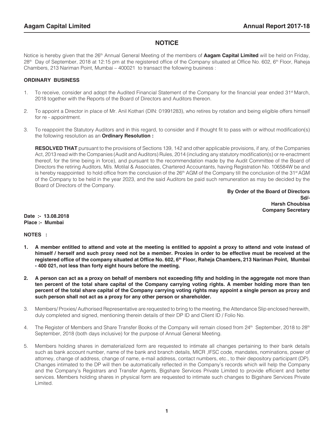#### **NOTICE**

Notice is hereby given that the 26<sup>th</sup> Annual General Meeting of the members of **Aagam Capital Limited** will be held on Friday, 28<sup>th</sup> Day of September, 2018 at 12:15 pm at the registered office of the Company situated at Office No. 602, 6<sup>th</sup> Floor, Raheja Chambers, 213 Nariman Point, Mumbai – 400021 to transact the following business :

#### **ORDINARY BUSINESS**

- 1. To receive, consider and adopt the Audited Financial Statement of the Company for the financial year ended  $31<sup>st</sup> March$ , 2018 together with the Reports of the Board of Directors and Auditors thereon.
- 2. To appoint a Director in place of Mr. Anil Kothari (DIN: 01991283), who retires by rotation and being eligible offers himself for re - appointment.
- 3. To reappoint the Statutory Auditors and in this regard, to consider and if thought fit to pass with or without modification(s) the following resolution as an **Ordinary Resolution :**

**RESOLVED THAT** pursuant to the provisions of Sections 139, 142 and other applicable provisions, if any, of the Companies Act, 2013 read with the Companies (Audit and Auditors) Rules, 2014 (including any statutory modification(s) or re-enactment thereof, for the time being in force), and pursuant to the recommendation made by the Audit Committee of the Board of Directors the retiring Auditors, M/s. Motilal & Associates, Chartered Accountants, having Registration No. 106584W be and is hereby reappointed to hold office from the conclusion of the 26<sup>th</sup> AGM of the Company till the conclusion of the 31<sup>st</sup> AGM of the Company to be held in the year 2023, and the said Auditors be paid such remuneration as may be decided by the Board of Directors of the Company.

> **By Order of the Board of Directors Sd/-**  $S$ d/- **Harsh Choubisa Company Secretary**

**Date :- 13.08.2018 Place :- Mumbai**

**NOTES :**

- **1. A member entitled to attend and vote at the meeting is entitled to appoint a proxy to attend and vote instead of himself / herself and such proxy need not be a member. Proxies in order to be effective must be received at the registered office of the company situated at Office No. 602, 6th Floor, Raheja Chambers, 213 Nariman Point, Mumbai - 400 021, not less than forty eight hours before the meeting.**
- **2. A person can act as a proxy on behalf of members not exceeding fifty and holding in the aggregate not more than ten percent of the total share capital of the Company carrying voting rights. A member holding more than ten percent of the total share capital of the Company carrying voting rights may appoint a single person as proxy and such person shall not act as a proxy for any other person or shareholder.**
- 3. Members/ Proxies/ Authorised Representative are requested to bring to the meeting, the Attendance Slip enclosed herewith, duly completed and signed, mentioning therein details of their DP ID and Client ID / Folio No.
- 4. The Register of Members and Share Transfer Books of the Company will remain closed from 24<sup>th</sup> September, 2018 to 28<sup>th</sup> September, 2018 (both days inclusive) for the purpose of Annual General Meeting.
- 5. Members holding shares in dematerialized form are requested to intimate all changes pertaining to their bank details such as bank account number, name of the bank and branch details, MICR ,IFSC code, mandates, nominations, power of attorney, change of address, change of name, e-mail address, contact numbers, etc., to their depository participant (DP). Changes intimated to the DP will then be automatically reflected in the Company's records which will help the Company and the Company's Registrars and Transfer Agents, Bigshare Services Private Limited to provide efficient and better services. Members holding shares in physical form are requested to intimate such changes to Bigshare Services Private Limited.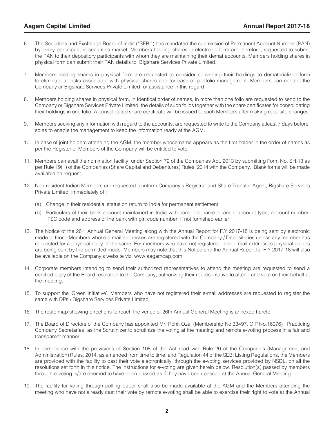- 6. The Securities and Exchange Board of India ("SEBI") has mandated the submission of Permanent Account Number (PAN) by every participant in securities market. Members holding shares in electronic form are therefore, requested to submit the PAN to their depository participants with whom they are maintaining their demat accounts. Members holding shares in physical form can submit their PAN details to Bigshare Services Private Limited.
- 7. Members holding shares in physical form are requested to consider converting their holdings to dematerialized form to eliminate all risks associated with physical shares and for ease of portfolio management. Members can contact the Company or Bigshare Services Private Limited for assistance in this regard.
- 8. Members holding shares in physical form, in identical order of names, in more than one folio are requested to send to the Company or Bigshare Services Private Limited, the details of such folios together with the share certificates for consolidating their holdings in one folio. A consolidated share certificate will be issued to such Members after making requisite changes.
- 9. Members seeking any information with regard to the accounts, are requested to write to the Company atleast 7 days before, so as to enable the management to keep the information ready at the AGM.
- 10. In case of joint holders attending the AGM, the member whose name appears as the first holder in the order of names as per the Register of Members of the Company will be entitled to vote.
- 11. Members can avail the nomination facility, under Section 72 of the Companies Act, 2013 by submitting Form No. SH.13 as per Rule 19(1) of the Companies (Share Capital and Debentures) Rules, 2014 with the Company. Blank forms will be made available on request.
- 12. Non-resident Indian Members are requested to inform Company's Registrar and Share Transfer Agent, Bigshare Services Private Limited, immediately of :
	- (a) Change in their residential status on return to India for permanent settlement.
	- (b) Particulars of their bank account maintained in India with complete name, branch, account type, account number, IFSC code and address of the bank with pin code number, if not furnished earlier.
- 13. The Notice of the 26<sup>th</sup> Annual General Meeting along with the Annual Report for F.Y 2017-18 is being sent by electronic mode to those Members whose e-mail addresses are registered with the Company / Depositories unless any member has requested for a physical copy of the same. For members who have not registered their e-mail addresses physical copies are being sent by the permitted mode. Members may note that this Notice and the Annual Report for F.Y 2017-18 will also be available on the Company's website viz. www.aagamcap.com.
- 14. Corporate members intending to send their authorized representatives to attend the meeting are requested to send a certified copy of the Board resolution to the Company, authorizing their representative to attend and vote on their behalf at the meeting.
- 15. To support the 'Green Initiative', Members who have not registered their e-mail addresses are requested to register the same with DPs / Bigshare Services Private Limited.
- 16. The route map showing directions to reach the venue of 26th Annual General Meeting is annexed hereto.
- 17. The Board of Directors of the Company has appointed Mr. Rohit Oza, (Membership No.33497, C.P No.16076) , Practicing Company Secretaries as the Scrutinizer to scrutinize the voting at the meeting and remote e-voting process in a fair and transparent manner.
- 18. In compliance with the provisions of Section 108 of the Act read with Rule 20 of the Companies (Management and Administration) Rules, 2014, as amended from time to time, and Regulation 44 of the SEBI Listing Regulations, the Members are provided with the facility to cast their vote electronically, through the e-voting services provided by NSDL, on all the resolutions set forth in this notice. The instructions for e-voting are given herein below. Resolution(s) passed by members through e-voting is/are deemed to have been passed as if they have been passed at the Annual General Meeting.
- 19. The facility for voting through polling paper shall also be made available at the AGM and the Members attending the meeting who have not already cast their vote by remote e-voting shall be able to exercise their right to vote at the Annual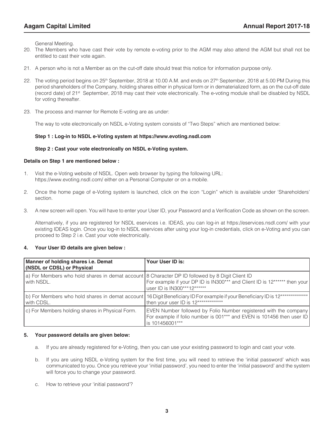General Meeting.

- 20. The Members who have cast their vote by remote e-voting prior to the AGM may also attend the AGM but shall not be entitled to cast their vote again.
- 21. A person who is not a Member as on the cut-off date should treat this notice for information purpose only.
- 22. The voting period begins on 25<sup>th</sup> September, 2018 at 10.00 A.M. and ends on 27<sup>th</sup> September, 2018 at 5.00 PM During this period shareholders of the Company, holding shares either in physical form or in dematerialized form, as on the cut-off date (record date) of 21st September, 2018 may cast their vote electronically. The e-voting module shall be disabled by NSDL for voting thereafter.
- 23. The process and manner for Remote E-voting are as under:

The way to vote electronically on NSDL e-Voting system consists of "Two Steps" which are mentioned below:

#### **Step 1 : Log-in to NSDL e-Voting system at https://www.evoting.nsdl.com**

#### **Step 2 : Cast your vote electronically on NSDL e-Voting system.**

#### **Details on Step 1 are mentioned below :**

- 1. Visit the e-Voting website of NSDL. Open web browser by typing the following URL: https://www.evoting.nsdl.com/ either on a Personal Computer or on a mobile.
- 2. Once the home page of e-Voting system is launched, click on the icon "Login" which is available under 'Shareholders' section.
- 3. A new screen will open. You will have to enter your User ID, your Password and a Verification Code as shown on the screen.

Alternatively, if you are registered for NSDL eservices i.e. IDEAS, you can log-in at https://eservices.nsdl.com/ with your existing IDEAS login. Once you log-in to NSDL eservices after using your log-in credentials, click on e-Voting and you can proceed to Step 2 i.e. Cast your vote electronically.

#### **4. Your User ID details are given below :**

| Manner of holding shares i.e. Demat<br>(NSDL or CDSL) or Physical                                             | Your User ID is:                                                                                                                                                          |
|---------------------------------------------------------------------------------------------------------------|---------------------------------------------------------------------------------------------------------------------------------------------------------------------------|
| a) For Members who hold shares in demat account 8 Character DP ID followed by 8 Digit Client ID<br>with NSDL. | For example if your DP ID is IN300*** and Client ID is 12****** then your<br>user ID is IN300***12******                                                                  |
| with CDSL.                                                                                                    | (b) For Members who hold shares in demat account 16 Digit Beneficiary ID For example if your Beneficiary ID is 12****************<br>then your user ID is 12************* |
| c) For Members holding shares in Physical Form.                                                               | EVEN Number followed by Folio Number registered with the company<br>For example if folio number is 001*** and EVEN is 101456 then user ID<br>is 101456001***              |

#### **5. Your password details are given below:**

- a. If you are already registered for e-Voting, then you can use your existing password to login and cast your vote.
- b. If you are using NSDL e-Voting system for the first time, you will need to retrieve the 'initial password' which was communicated to you. Once you retrieve your 'initial password', you need to enter the 'initial password' and the system will force you to change your password.
- c. How to retrieve your 'initial password'?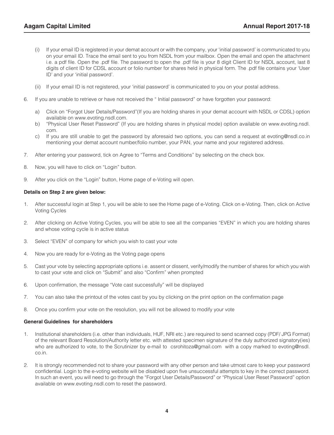- (i) If your email ID is registered in your demat account or with the company, your 'initial password' is communicated to you on your email ID. Trace the email sent to you from NSDL from your mailbox. Open the email and open the attachment i.e. a pdf file. Open the .pdf file. The password to open the .pdf file is your 8 digit Client ID for NSDL account, last 8 digits of client ID for CDSL account or folio number for shares held in physical form. The .pdf file contains your 'User ID' and your 'initial password'.
- (ii) If your email ID is not registered, your 'initial password' is communicated to you on your postal address.
- 6. If you are unable to retrieve or have not received the " Initial password" or have forgotten your password:
	- a) Click on "Forgot User Details/Password"(If you are holding shares in your demat account with NSDL or CDSL) option available on www.evoting.nsdl.com.
	- b) "Physical User Reset Password" (If you are holding shares in physical mode) option available on www.evoting.nsdl. com.
	- c) If you are still unable to get the password by aforesaid two options, you can send a request at evoting@nsdl.co.in mentioning your demat account number/folio number, your PAN, your name and your registered address.
- 7. After entering your password, tick on Agree to "Terms and Conditions" by selecting on the check box.
- 8. Now, you will have to click on "Login" button.
- 9. After you click on the "Login" button, Home page of e-Voting will open.

#### **Details on Step 2 are given below:**

- 1. After successful login at Step 1, you will be able to see the Home page of e-Voting. Click on e-Voting. Then, click on Active Voting Cycles
- 2. After clicking on Active Voting Cycles, you will be able to see all the companies "EVEN" in which you are holding shares and whose voting cycle is in active status
- 3. Select "EVEN" of company for which you wish to cast your vote
- 4. Now you are ready for e-Voting as the Voting page opens
- 5. Cast your vote by selecting appropriate options i.e. assent or dissent, verify/modify the number of shares for which you wish to cast your vote and click on "Submit" and also "Confirm" when prompted
- 6. Upon confirmation, the message "Vote cast successfully" will be displayed
- 7. You can also take the printout of the votes cast by you by clicking on the print option on the confirmation page
- 8. Once you confirm your vote on the resolution, you will not be allowed to modify your vote

#### **General Guidelines for shareholders**

- 1. Institutional shareholders (i.e. other than individuals, HUF, NRI etc.) are required to send scanned copy (PDF/ JPG Format) of the relevant Board Resolution/Authority letter etc. with attested specimen signature of the duly authorized signatory(ies) who are authorized to vote, to the Scrutinizer by e-mail to csrohitoza@gmail.com with a copy marked to evoting@nsdl. co.in.
- 2. It is strongly recommended not to share your password with any other person and take utmost care to keep your password confidential. Login to the e-voting website will be disabled upon five unsuccessful attempts to key in the correct password. In such an event, you will need to go through the "Forgot User Details/Password" or "Physical User Reset Password" option available on www.evoting.nsdl.com to reset the password.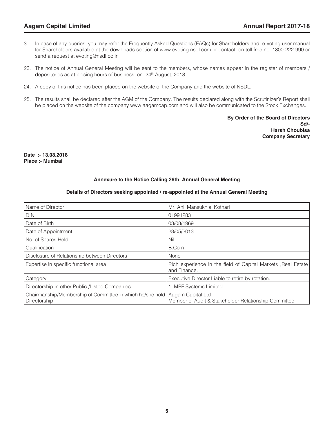- 3. In case of any queries, you may refer the Frequently Asked Questions (FAQs) for Shareholders and e-voting user manual for Shareholders available at the downloads section of www.evoting.nsdl.com or contact on toll free no: 1800-222-990 or send a request at evoting@nsdl.co.in
- 23. The notice of Annual General Meeting will be sent to the members, whose names appear in the register of members / depositories as at closing hours of business, on 24<sup>th</sup> August, 2018.
- 24. A copy of this notice has been placed on the website of the Company and the website of NSDL.
- 25. The results shall be declared after the AGM of the Company. The results declared along with the Scrutinizer's Report shall be placed on the website of the company www.aagamcap.com and will also be communicated to the Stock Exchanges.

 **By Order of the Board of Directors Sd/-**  $S$ d/- **Harsh Choubisa Company Secretary** 

**Date :- 13.08.2018 Place :- Mumbai**

#### **Annexure to the Notice Calling 26th Annual General Meeting**

#### **Details of Directors seeking appointed / re-appointed at the Annual General Meeting**

| Name of Director                                                          | Mr. Anil Mansukhlal Kothari                                                   |
|---------------------------------------------------------------------------|-------------------------------------------------------------------------------|
| <b>DIN</b>                                                                | 01991283                                                                      |
| Date of Birth                                                             | 03/08/1969                                                                    |
| Date of Appointment                                                       | 28/05/2013                                                                    |
| No. of Shares Held                                                        | Nil                                                                           |
| Qualification                                                             | B.Com                                                                         |
| Disclosure of Relationship between Directors                              | None                                                                          |
| Expertise in specific functional area                                     | Rich experience in the field of Capital Markets , Real Estate<br>and Finance. |
| Category                                                                  | Executive Director Liable to retire by rotation.                              |
| Directorship in other Public /Listed Companies                            | 1. MPF Systems Limited                                                        |
| Chairmanship/Membership of Committee in which he/she hold<br>Directorship | Aagam Capital Ltd<br>Member of Audit & Stakeholder Relationship Committee     |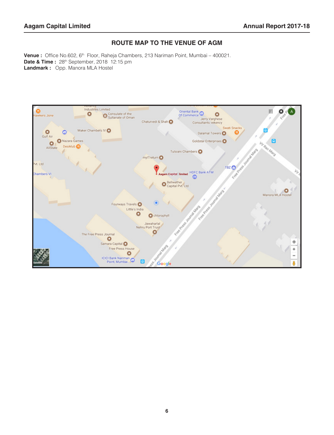#### **ROUTE MAP TO THE VENUE OF AGM**

Venue : Office No.602, 6<sup>th</sup> Floor, Raheja Chambers, 213 Nariman Point, Mumbai – 400021. **Date & Time :** 28<sup>th</sup> September, 2018 12:15 pm **Landmark :** Opp. Manora MLA Hostel

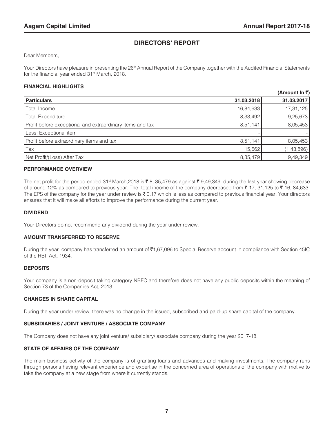#### **DIRECTORS' REPORT**

Dear Members,

Your Directors have pleasure in presenting the 26<sup>th</sup> Annual Report of the Company together with the Audited Financial Statements for the financial year ended 31st March, 2018.

#### **FINANCIAL HIGHLIGHTS**

|                                                           |            | (Amount In ₹) |
|-----------------------------------------------------------|------------|---------------|
| <b>Particulars</b>                                        | 31.03.2018 | 31.03.2017    |
| Total Income                                              | 16,84,633  | 17,31,125     |
| <b>Total Expenditure</b>                                  | 8,33,492   | 9,25,673      |
| Profit before exceptional and extraordinary items and tax | 8,51,141   | 8,05,453      |
| Less: Exceptional item                                    |            |               |
| Profit before extraordinary items and tax                 | 8,51,141   | 8,05,453      |
| Tax                                                       | 15,662     | (1,43,896)    |
| Net Profit/(Loss) After Tax                               | 8,35,479   | 9,49,349      |

#### **PERFORMANCE OVERVIEW**

The net profit for the period ended 31<sup>st</sup> March,2018 is  $\bar{\tau}$  8, 35,479 as against  $\bar{\tau}$  9,49,349 during the last year showing decrease of around 12% as compared to previous year. The total income of the company decreased from  $\bar{\tau}$  17, 31,125 to  $\bar{\tau}$  16, 84,633. The EPS of the company for the year under review is  $\bar{\tau}$  0.17 which is less as compared to previous financial year. Your directors ensures that it will make all efforts to improve the performance during the current year.

#### **DIVIDEND**

Your Directors do not recommend any dividend during the year under review.

#### **AMOUNT TRANSFERRED TO RESERVE**

During the year company has transferred an amount of  $\bar{\tau}1,67,096$  to Special Reserve account in compliance with Section 45IC of the RBI Act, 1934.

#### **DEPOSITS**

Your company is a non-deposit taking category NBFC and therefore does not have any public deposits within the meaning of Section 73 of the Companies Act, 2013.

#### **CHANGES IN SHARE CAPITAL**

During the year under review, there was no change in the issued, subscribed and paid-up share capital of the company.

#### **SUBSIDIARIES / JOINT VENTURE / ASSOCIATE COMPANY**

The Company does not have any joint venture/ subsidiary/ associate company during the year 2017-18.

#### **STATE OF AFFAIRS OF THE COMPANY**

The main business activity of the company is of granting loans and advances and making investments. The company runs through persons having relevant experience and expertise in the concerned area of operations of the company with motive to take the company at a new stage from where it currently stands.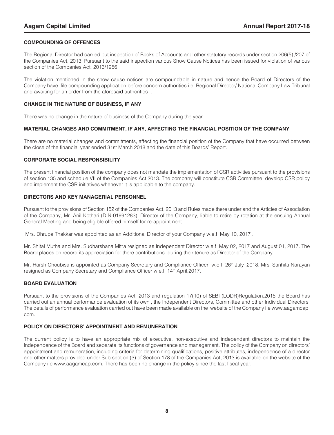#### **COMPOUNDING OF OFFENCES**

The Regional Director had carried out inspection of Books of Accounts and other statutory records under section 206(5) /207 of the Companies Act, 2013. Pursuant to the said inspection various Show Cause Notices has been issued for violation of various section of the Companies Act, 2013/1956.

The violation mentioned in the show cause notices are compoundable in nature and hence the Board of Directors of the Company have file compounding application before concern authorities i.e. Regional Director/ National Company Law Tribunal and awaiting for an order from the aforesaid authorities .

#### **CHANGE IN THE NATURE OF BUSINESS, IF ANY**

There was no change in the nature of business of the Company during the year.

#### **MATERIAL CHANGES AND COMMITMENT, IF ANY, AFFECTING THE FINANCIAL POSITION OF THE COMPANY**

There are no material changes and commitments, affecting the financial position of the Company that have occurred between the close of the financial year ended 31st March 2018 and the date of this Boards' Report.

#### **CORPORATE SOCIAL RESPONSIBILITY**

The present financial position of the company does not mandate the implementation of CSR activities pursuant to the provisions of section 135 and schedule VII of the Companies Act,2013. The company will constitute CSR Committee, develop CSR policy and implement the CSR initiatives whenever it is applicable to the company.

#### **DIRECTORS AND KEY MANAGERIAL PERSONNEL**

Pursuant to the provisions of Section 152 of the Companies Act, 2013 and Rules made there under and the Articles of Association of the Company, Mr. Anil Kothari (DIN-01991283), Director of the Company, liable to retire by rotation at the ensuing Annual General Meeting and being eligible offered himself for re-appointment.

Mrs. Dhrupa Thakkar was appointed as an Additional Director of your Company w.e.f May 10, 2017 .

Mr. Shital Mutha and Mrs. Sudharshana Mitra resigned as Independent Director w.e.f May 02, 2017 and August 01, 2017. The Board places on record its appreciation for there contributions during their tenure as Director of the Company.

Mr. Harsh Choubisa is appointed as Company Secretary and Compliance Officer w.e.f 26<sup>th</sup> July ,2018. Mrs. Sanhita Narayan resigned as Company Secretary and Compliance Officer w.e.f 14<sup>th</sup> April, 2017.

#### **BOARD EVALUATION**

Pursuant to the provisions of the Companies Act, 2013 and regulation 17(10) of SEBI (LODR)Regulation,2015 the Board has carried out an annual performance evaluation of its own , the Independent Directors, Committee and other Individual Directors. The details of performance evaluation carried out have been made available on the website of the Company i.e www.aagamcap. com.

#### **POLICY ON DIRECTORS' APPOINTMENT AND REMUNERATION**

The current policy is to have an appropriate mix of executive, non-executive and independent directors to maintain the independence of the Board and separate its functions of governance and management. The policy of the Company on directors' appointment and remuneration, including criteria for determining qualifications, positive attributes, independence of a director and other matters provided under Sub section (3) of Section 178 of the Companies Act, 2013 is available on the website of the Company i.e www.aagamcap.com. There has been no change in the policy since the last fiscal year.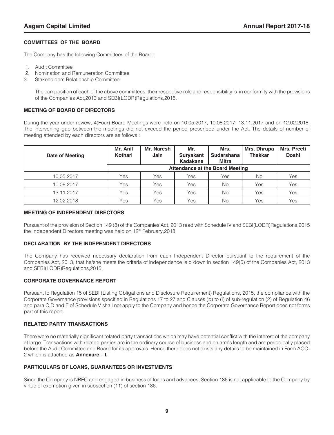#### **COMMITTEES OF THE BOARD**

The Company has the following Committees of the Board :

- 1. Audit Committee
- 2. Nomination and Remuneration Committee
- 3. Stakeholders Relationship Committee

The composition of each of the above committees, their respective role and responsibility is in conformity with the provisions of the Companies Act,2013 and SEBI(LODR)Regulations,2015.

#### **MEETING OF BOARD OF DIRECTORS**

During the year under review, 4(Four) Board Meetings were held on 10.05.2017, 10.08.2017, 13.11.2017 and on 12.02.2018. The intervening gap between the meetings did not exceed the period prescribed under the Act. The details of number of meeting attended by each directors are as follows :

| Date of Meeting | Mr. Anil<br>Kothari | Mr. Naresh<br>Jain | Mr.<br><b>Suryakant</b><br>Kadakane | Mrs.<br><b>Sudarshana</b><br>Mitra | Mrs. Preeti<br>Mrs. Dhrupa<br><b>Thakkar</b><br><b>Doshi</b> |     |
|-----------------|---------------------|--------------------|-------------------------------------|------------------------------------|--------------------------------------------------------------|-----|
|                 |                     |                    |                                     | Attendance at the Board Meeting    |                                                              |     |
| 10.05.2017      | Yes                 | Yes                | Yes                                 | Yes                                | No                                                           | Yes |
| 10.08.2017      | Yes                 | Yes                | Yes                                 | No                                 | Yes                                                          | Yes |
| 13.11.2017      | Yes                 | Yes                | Yes                                 | No                                 | Yes                                                          | Yes |
| 12.02.2018      | Yes                 | Yes                | Yes                                 | No                                 | Yes                                                          | Yes |

#### **MEETING OF INDEPENDENT DIRECTORS**

Pursuant of the provision of Section 149 (8) of the Companies Act, 2013 read with Schedule IV and SEBI(LODR)Regulations,2015 the Independent Directors meeting was held on 12<sup>th</sup> February, 2018.

#### **DECLARATION BY THE INDEPENDENT DIRECTORS**

The Company has received necessary declaration from each Independent Director pursuant to the requirement of the Companies Act, 2013, that he/she meets the criteria of independence laid down in section 149(6) of the Companies Act, 2013 and SEBI(LODR)Regulations,2015.

#### **CORPORATE GOVERNANCE REPORT**

Pursuant to Regulation 15 of SEBI (Listing Obligations and Disclosure Requirement) Regulations, 2015, the compliance with the Corporate Governance provisions specified in Regulations 17 to 27 and Clauses (b) to (i) of sub-regulation (2) of Regulation 46 and para C,D and E of Schedule V shall not apply to the Company and hence the Corporate Governance Report does not forms part of this report.

#### **RELATED PARTY TRANSACTIONS**

There were no materially significant related party transactions which may have potential conflict with the interest of the company at large. Transactions with related parties are in the ordinary course of business and on arm's length and are periodically placed before the Audit Committee and Board for its approvals. Hence there does not exists any details to be maintained in Form AOC-2 which is attached as **Annexure – I.** 

#### **PARTICULARS OF LOANS, GUARANTEES OR INVESTMENTS**

Since the Company is NBFC and engaged in business of loans and advances, Section 186 is not applicable to the Company by virtue of exemption given in subsection (11) of section 186.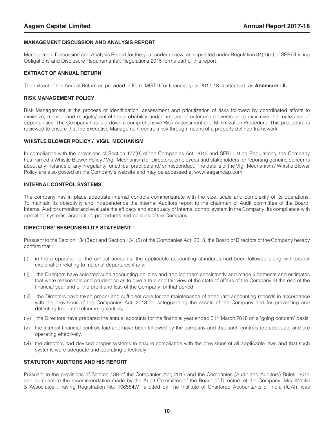#### **MANAGEMENT DISCUSSION AND ANALYSIS REPORT**

Management Discussion and Analysis Report for the year under review, as stipulated under Regulation 34(2)(e) of SEBI (Listing Obligations and Disclosure Requirements), Regulations 2015 forms part of this report.

#### **EXTRACT OF ANNUAL RETURN**

The extract of the Annual Return as provided in Form MGT-9 for financial year 2017-18 is attached as **Annexure - II.**

#### **RISK MANAGEMENT POLICY**

Risk Management is the process of identification, assessment and prioritization of risks followed by coordinated efforts to minimize, monitor and mitigate/control the probability and/or impact of unfortunate events or to maximize the realization of opportunities. The Company has laid down a comprehensive Risk Assessment and Minimization Procedure. This procedure is reviewed to ensure that the Executive Management controls risk through means of a properly defined framework.

#### WHISTLE BLOWER POLICY / VIGIL MECHANISM

In compliance with the provisions of Section 177(9) of the Companies Act, 2013 and SEBI Listing Regulations, the Company has framed a Whistle Blower Policy / Vigil Mechanism for Directors, employees and stakeholders for reporting genuine concerns about any instance of any irregularity, unethical practice and/ or misconduct. The details of the Vigil Mechanism / Whistle Blower Policy are also posted on the Company's website and may be accessed at www.aagamcap.com.

#### **INTERNAL CONTROL SYSTEMS**

The company has in place adequate internal controls commensurate with the size, scale and complexity of its operations. To maintain its objectivity and independence the Internal Auditors report to the chairman of Audit committee of the Board. Internal Auditors monitor and evaluate the efficacy and adequacy of internal control system in the Company, its compliance with operating systems, accounting procedures and policies of the Company.

#### **DIRECTORS' RESPONSIBILITY STATEMENT**

Pursuant to the Section 134(3)(c) and Section 134 (5) of the Companies Act, 2013, the Board of Directors of the Company hereby confirm that :

- (i) in the preparation of the annual accounts, the applicable accounting standards had been followed along with proper explanation relating to material departures if any;
- (ii) the Directors have selected such accounting policies and applied them consistently and made judgments and estimates that were reasonable and prudent so as to give a true and fair view of the state of affairs of the Company at the end of the financial year and of the profit and loss of the Company for that period.
- (iii) the Directors have taken proper and sufficient care for the maintenance of adequate accounting records in accordance with the provisions of the Companies Act, 2013 for safeguarding the assets of the Company and for preventing and detecting fraud and other irregularities;
- (iv) the Directors have prepared the annual accounts for the financial year ended  $31<sup>st</sup>$  March 2018 on a 'going concern' basis.
- (v) the internal financial controls laid and have been followed by the company and that such controls are adequate and are operating effectively.
- (vi) the directors had devised proper systems to ensure compliance with the provisions of all applicable laws and that such systems were adequate and operating effectively.

#### **STATUTORY AUDITORS AND HIS REPORT**

Pursuant to the provisions of Section 139 of the Companies Act, 2013 and the Companies (Audit and Auditors) Rules, 2014 and pursuant to the recommendation made by the Audit Committee of the Board of Directors of the Company, M/s. Motilal & Associates , having Registration No. 106584W allotted by The Institute of Chartered Accountants of India (ICAI), was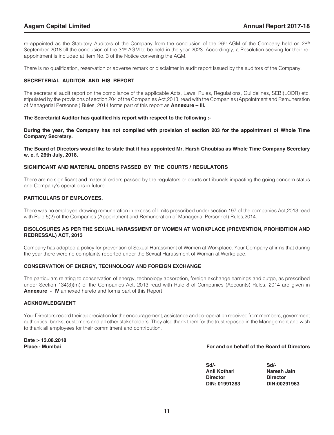re-appointed as the Statutory Auditors of the Company from the conclusion of the 26<sup>th</sup> AGM of the Company held on 28<sup>th</sup> September 2018 till the conclusion of the 31<sup>st</sup> AGM to be held in the year 2023. Accordingly, a Resolution seeking for their reappointment is included at Item No. 3 of the Notice convening the AGM.

There is no qualification, reservation or adverse remark or disclaimer in audit report issued by the auditors of the Company.

#### **SECRETERIAL AUDITOR AND HIS REPORT**

The secretarial audit report on the compliance of the applicable Acts, Laws, Rules, Regulations, Guildelines, SEBI(LODR) etc. stipulated by the provisions of section 204 of the Companies Act,2013, read with the Companies (Appointment and Remuneration of Managerial Personnel) Rules, 2014 forms part of this report as **Annexure – III.** 

#### **The Secretarial Auditor has qualified his report with respect to the following :-**

**During the year, the Company has not complied with provision of section 203 for the appointment of Whole Time Company Secretary.**

#### **The Board of Directors would like to state that it has appointed Mr. Harsh Choubisa as Whole Time Company Secretary w. e. f. 26th July, 2018.**

#### **SIGNIFICANT AND MATERIAL ORDERS PASSED BY THE COURTS / REGULATORS**

There are no significant and material orders passed by the regulators or courts or tribunals impacting the going concern status and Company's operations in future.

#### **PARTICULARS OF FMPLOYEES.**

There was no employee drawing remuneration in excess of limits prescribed under section 197 of the companies Act,2013 read with Rule 5(2) of the Companies (Appointment and Remuneration of Managerial Personnel) Rules,2014.

#### **DISCLOSURES AS PER THE SEXUAL HARASSMENT OF WOMEN AT WORKPLACE (PREVENTION, PROHIBITION AND REDRESSAL) ACT, 2013**

Company has adopted a policy for prevention of Sexual Harassment of Women at Workplace. Your Company affirms that during the year there were no complaints reported under the Sexual Harassment of Woman at Workplace.

#### **CONSERVATION OF ENERGY, TECHNOLOGY AND FOREIGN EXCHANGE**

The particulars relating to conservation of energy, technology absorption, foreign exchange earnings and outgo, as prescribed under Section 134(3)(m) of the Companies Act, 2013 read with Rule 8 of Companies (Accounts) Rules, 2014 are given in **Annexure - IV** annexed hereto and forms part of this Report.

#### **ACKNOWLEDGMENT**

Your Directors record their appreciation for the encouragement, assistance and co-operation received from members, government authorities, banks, customers and all other stakeholders. They also thank them for the trust reposed in the Management and wish to thank all employees for their commitment and contribution.

**Date :- 13.08.2018**

#### **Place:- Mumbai For and on behalf of the Board of Directors**

| Sd/-                | Sd/-            |
|---------------------|-----------------|
| <b>Anil Kothari</b> | Naresh Jain     |
| <b>Director</b>     | <b>Director</b> |
| DIN: 01991283       | DIN:00291963    |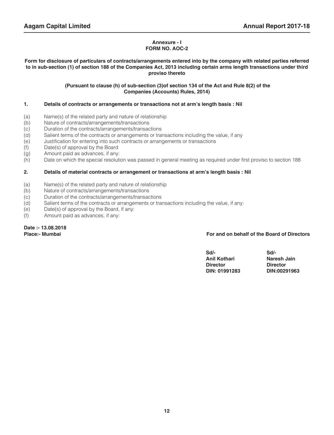#### **Annexure - I FORM NO. AOC-2**

#### **Form for disclosure of particulars of contracts/arrangements entered into by the company with related parties referred to in sub-section (1) of section 188 of the Companies Act, 2013 including certain arms length transactions under third proviso thereto**

#### **(Pursuant to clause (h) of sub-section (3)of section 134 of the Act and Rule 8(2) of the Companies (Accounts) Rules, 2014)**

#### **1. Details of contracts or arrangements or transactions not at arm's length basis : Nil**

- (a) Name(s) of the related party and nature of relationship
- (b) Nature of contracts/arrangements/transactions
- (c) Duration of the contracts/arrangements/transactions
- (d) Salient terms of the contracts or arrangements or transactions including the value, if any
- (e) Justification for entering into such contracts or arrangements or transactions
- (f) Date(s) of approval by the Board
- (g) Amount paid as advances, if any:
- (h) Date on which the special resolution was passed in general meeting as required under first proviso to section 188

#### **2. Details of material contracts or arrangement or transactions at arm's length basis : Nil**

- (a) Name(s) of the related party and nature of relationship
- (b) Nature of contracts/arrangements/transactions
- (c) Duration of the contracts/arrangements/transactions
- (d) Salient terms of the contracts or arrangements or transactions including the value, if any:
- (e) Date(s) of approval by the Board, if any:
- (f) Amount paid as advances, if any:

**Date :- 13.08.2018**

#### For and on behalf of the Board of Directors

| $Sd$ -              | Sd/-            |
|---------------------|-----------------|
| <b>Anil Kothari</b> | Naresh Jain     |
| <b>Director</b>     | <b>Director</b> |
| DIN: 01991283       | DIN:00291963    |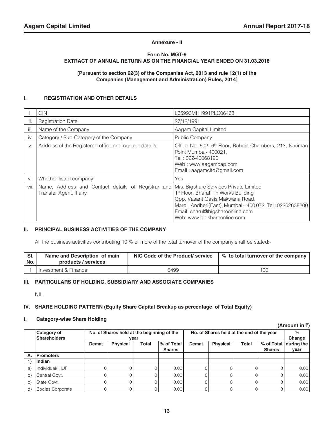#### **Annexure - II**

#### **Form No. MGT-9 EXTRACT OF ANNUAL RETURN AS ON THE FINANCIAL YEAR ENDED ON 31.03.2018**

#### **[Pursuant to section 92(3) of the Companies Act, 2013 and rule 12(1) of the Companies (Management and Administration) Rules, 2014]**

#### **I. REGISTRATION AND OTHER DETAILS**

|      | <b>CIN</b>                                                                                                          | L65990MH1991PLC064631                                                                                                                                                                                              |
|------|---------------------------------------------------------------------------------------------------------------------|--------------------------------------------------------------------------------------------------------------------------------------------------------------------------------------------------------------------|
| ΙΙ.  | <b>Registration Date</b>                                                                                            | 27/12/1991                                                                                                                                                                                                         |
| iii. | Name of the Company                                                                                                 | Aagam Capital Limited                                                                                                                                                                                              |
| iv.  | Category / Sub-Category of the Company                                                                              | Public Company                                                                                                                                                                                                     |
| V.   | Address of the Registered office and contact details                                                                | Office No. 602, 6 <sup>th</sup> Floor, Raheja Chambers, 213, Nariman<br>Point Mumbai-400021.<br>Tel : 022-40068190<br>Web: www.aagamcap.com<br>Email: aagamcltd@gmail.com                                          |
| Vİ.  | Whether listed company                                                                                              | Yes                                                                                                                                                                                                                |
| vii. | Name, Address and Contact details of Registrar and M/s. Bigshare Services Private Limited<br>Transfer Agent, if any | 1 <sup>st</sup> Floor, Bharat Tin Works Building<br>Opp. Vasant Oasis Makwana Road,<br>Marol, Andheri(East), Mumbai - 400 072. Tel: 02262638200<br>Email: charul@bigshareonline.com<br>Web: www.bigshareonline.com |

#### **II. PRINCIPAL BUSINESS ACTIVITIES OF THE COMPANY**

All the business activities contributing 10 % or more of the total turnover of the company shall be stated:-

| $\mathsf{S}$ SI.<br>' No. | Name and Description of main<br>products / services | NIC Code of the Product/ service | ↓% to total turnover of the company |
|---------------------------|-----------------------------------------------------|----------------------------------|-------------------------------------|
|                           | I Investment & Finance                              | 6499                             | 100                                 |

#### **III. PARTICULARS OF HOLDING, SUBSIDIARY AND ASSOCIATE COMPANIES**

NIL

#### **IV. SHARE HOLDING PATTERN (Equity Share Capital Breakup as percentage of Total Equity)**

#### **i. Category-wise Share Holding**

|    |                                    |       |                 |                                                    |                             |       |                                           |              | (Amount in ₹)               |            |
|----|------------------------------------|-------|-----------------|----------------------------------------------------|-----------------------------|-------|-------------------------------------------|--------------|-----------------------------|------------|
|    | Category of<br><b>Shareholders</b> |       |                 | No. of Shares held at the beginning of the<br>year |                             |       | No. of Shares held at the end of the year |              |                             |            |
|    |                                    | Demat | <b>Physical</b> | Total                                              | % of Total<br><b>Shares</b> | Demat | <b>Physical</b>                           | <b>Total</b> | % of Total<br><b>Shares</b> | during the |
| Α. | Promoters                          |       |                 |                                                    |                             |       |                                           |              |                             | year       |
|    | Indian                             |       |                 |                                                    |                             |       |                                           |              |                             |            |
| a) | Individual/HUF                     |       |                 |                                                    | 0.00                        |       |                                           |              |                             | 0.00       |
| b) | Central Govt.                      |       |                 |                                                    | 0.00                        |       |                                           |              |                             | 0.00       |
| C) | State Govt.                        |       |                 |                                                    | 0.00                        |       |                                           |              |                             | 0.00       |
| d) | Bodies Corporate                   |       |                 |                                                    | 0.00                        |       |                                           |              |                             | 0.00       |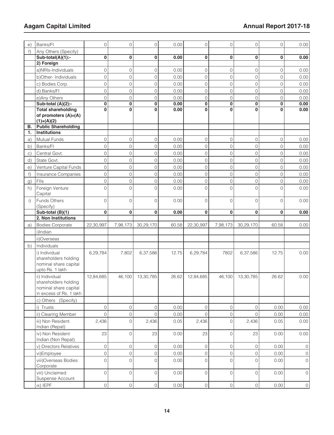| e)        | Banks/Fl                                                                                   | 0                   | 0                   | $\mathsf O$         | 0.00  | 0              | 0                   | $\mathsf{O}\xspace$ | $\circ$        | 0.00         |
|-----------|--------------------------------------------------------------------------------------------|---------------------|---------------------|---------------------|-------|----------------|---------------------|---------------------|----------------|--------------|
| $f$ )     | Any Others (Specify)                                                                       |                     |                     |                     |       |                |                     |                     |                |              |
|           | Sub-total(A)(1):-                                                                          | 0                   | 0                   | 0                   | 0.00  | 0              | 0                   | 0                   | 0              | 0.00         |
|           | 2) Foreign                                                                                 |                     |                     |                     |       |                |                     |                     |                |              |
|           | a)NRIs-Individuals                                                                         | $\overline{0}$      | $\Omega$            | $\overline{0}$      | 0.00  | $\mathbf 0$    | $\overline{0}$      | $\overline{0}$      | $\overline{O}$ | 0.00         |
|           | b)Other-Individuals                                                                        | $\overline{0}$      | $\overline{O}$      | $\overline{O}$      | 0.00  | $\mathbf 0$    | 0                   | $\overline{O}$      | $\overline{O}$ | 0.00         |
|           | c) Bodies Corp.                                                                            | $\mathsf O$         | $\overline{O}$      | $\mathsf{O}\xspace$ | 0.00  | $\mathbf 0$    | 0                   | $\overline{O}$      | $\overline{0}$ | 0.00         |
|           | d) Banks/FI                                                                                | $\circ$             | 0                   | $\mathsf{O}$        | 0.00  | $\overline{O}$ | 0                   | $\overline{0}$      | $\overline{0}$ | 0.00         |
|           | e)Any Others                                                                               | $\overline{0}$      | 0                   | $\overline{0}$      | 0.00  | $\overline{O}$ | $\overline{0}$      | $\overline{0}$      | $\overline{0}$ | 0.00         |
|           | Sub-total (A)(2):-                                                                         | $\mathbf 0$         | $\bf{0}$            | 0                   | 0.00  | 0              | 0                   | $\bf{0}$            | $\bf{0}$       | 0.00         |
|           | <b>Total shareholding</b><br>of promoters (A)=(A)<br>$(1)+(A)(2)$                          | $\bf{0}$            | $\Omega$            | 0                   | 0.00  | $\bf{0}$       | 0                   | $\bf{0}$            | $\mathbf{0}$   | 0.00         |
| в.        | <b>Public Shareholding</b>                                                                 |                     |                     |                     |       |                |                     |                     |                |              |
| 1.        | <b>Institutions</b>                                                                        |                     |                     |                     |       |                |                     |                     |                |              |
| a)        | Mutual Funds                                                                               | 0                   | $\overline{O}$      | 0                   | 0.00  | $\mathbf 0$    | 0                   | $\overline{O}$      | 0              | 0.00         |
| b)        | Banks/Fl                                                                                   | $\mathsf{O}$        | $\mathbf 0$         | 0                   | 0.00  | $\overline{O}$ | 0                   | $\overline{0}$      | $\overline{0}$ | 0.00         |
| $\circ$ ) | Central Govt.                                                                              | $\mathsf{O}$        | 0                   | $\mathsf{O}$        | 0.00  | $\overline{O}$ | 0                   | $\mathsf{O}$        | $\overline{0}$ | 0.00         |
| d)        | State Govt.                                                                                | $\overline{0}$      | $\overline{0}$      | $\overline{0}$      | 0.00  | $\overline{O}$ | 0                   | $\overline{0}$      | $\overline{O}$ | 0.00         |
| e)        | Venture Capital Funds                                                                      | $\mathsf{O}\xspace$ | $\overline{O}$      | 0                   | 0.00  | $\overline{O}$ | 0                   | $\circ$             | $\overline{0}$ | 0.00         |
| f)        | Insurance Companies                                                                        | 0                   | $\overline{O}$      | $\mathsf{O}\xspace$ | 0.00  | $\overline{0}$ | 0                   | $\overline{O}$      | $\overline{0}$ | 0.00         |
| g)        | Flls                                                                                       | $\circ$             | 0                   | $\overline{0}$      | 0.00  | $\overline{O}$ | 0                   | $\overline{0}$      | $\overline{O}$ | 0.00         |
| h)        | Foreign Venture<br>Capital                                                                 | $\overline{0}$      | $\Omega$            | $\overline{0}$      | 0.00  | $\Omega$       | $\overline{O}$      | $\Omega$            | $\Omega$       | 0.00         |
| i)        | Funds Others<br>(Specify)                                                                  | $\overline{0}$      | $\overline{0}$      | 0                   | 0.00  | $\Omega$       | 0                   | $\Omega$            | $\Omega$       | 0.00         |
|           | Sub-total (B)(1)                                                                           | $\bf{0}$            | $\mathbf 0$         | 0                   | 0.00  | 0              | 0                   | $\bf{0}$            | $\bf{0}$       | 0.00         |
|           | 2. Non Institutions                                                                        |                     |                     |                     |       |                |                     |                     |                |              |
| a)        | <b>Bodies Corporate</b>                                                                    | 22,30,997           | 7,98,173            | 30,29,170           | 60.58 | 22,30,997      | 7,98,173            | 30,29,170           | 60.58          | 0.00         |
|           | i)Indian                                                                                   |                     |                     |                     |       |                |                     |                     |                |              |
|           | ii)Overseas                                                                                |                     |                     |                     |       |                |                     |                     |                |              |
| b)        | Individuals                                                                                |                     |                     |                     |       |                |                     |                     |                |              |
|           | i) Individual<br>shareholders holding<br>nominal share capital<br>upto Rs. 1 lakh          | 6,29,784            | 7,802               | 6,37,586            | 12.75 | 6,29,784       | 7802                | 6,37,586            | 12.75          | 0.00         |
|           | ii) Individual<br>shareholders holding<br>nominal share capital<br>in excess of Rs. 1 lakh | 12,84,685           | 46.100              | 13,30,785           | 26.62 | 12,84,685      | 46,100              | 13,30,785           | 26.62          | 0.00         |
|           | c) Others<br>(Specify)                                                                     |                     |                     |                     |       |                |                     |                     |                |              |
|           | i) Trusts                                                                                  | $\mathsf{O}\xspace$ | 0                   | 0                   | 0.00  | $\circ$        | 0                   | 0                   | 0.00           | 0.00         |
|           | ii) Clearing Member                                                                        | 0                   | $\mathsf{O}\xspace$ | $\mathsf{O}\xspace$ | 0.00  | $\overline{0}$ | 0                   | $\overline{O}$      | 0.00           | 0.00         |
|           | iii) Non Resident<br>Indian (Repat)                                                        | 2,436               | 0                   | 2,436               | 0.05  | 2,436          | 0                   | 2,436               | 0.05           | 0.00         |
|           | iv) Non Resident<br>Indian (Non Repat)                                                     | 23                  | $\mathbf 0$         | 23                  | 0.00  | 23             | 0                   | 23                  | 0.00           | 0.00         |
|           | v) Directors Relatives                                                                     | $\mathsf{O}\xspace$ | $\mathsf{O}\xspace$ | $\mathsf{O}\xspace$ | 0.00  | $\mathbf 0$    | 0                   | 0                   | 0.00           | $\circ$      |
|           |                                                                                            |                     |                     |                     |       |                |                     |                     |                |              |
|           | vi)Employee                                                                                | $\mathsf{O}\xspace$ | $\mathsf O$         | $\mathsf{O}\xspace$ | 0.00  | $\overline{0}$ | $\mathsf{O}$        | 0                   | 0.00           | $\mathsf{O}$ |
|           | viii) Overseas Bodies<br>Corporate                                                         | $\overline{0}$      | 0                   | $\mathsf O$         | 0.00  | $\overline{O}$ | $\mathsf{O}\xspace$ | $\overline{0}$      | 0.00           | $\mathbf{0}$ |
|           | viii) Unclaimed<br>Suspense Account                                                        | $\mathsf{O}\xspace$ | $\mathbf 0$         | $\mathsf{O}$        | 0.00  | $\overline{0}$ | 0                   | 0                   | 0.00           | $\mathsf O$  |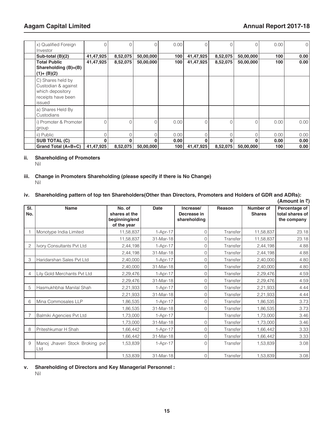| x) Qualified Foreign<br>Investor                                                             |           | 0        | 0         | 0.00 | 0         |          | 0         | 0.00 | $\circ$ |
|----------------------------------------------------------------------------------------------|-----------|----------|-----------|------|-----------|----------|-----------|------|---------|
| Sub-total (B)(2)                                                                             | 41,47,925 | 8,52,075 | 50,00,000 | 100  | 41,47,925 | 8,52,075 | 50,00,000 | 100  | 0.00    |
| <b>Total Public</b>                                                                          | 41,47,925 | 8,52,075 | 50,00,000 | 100  | 41,47,925 | 8,52,075 | 50,00,000 | 100  | 0.00    |
| Shareholding (B)=(B)<br>$(1)+(B)(2)$                                                         |           |          |           |      |           |          |           |      |         |
| C) Shares held by<br>Custodian & against<br>which depository<br>receipts have been<br>issued |           |          |           |      |           |          |           |      |         |
| a) Shares Held By<br>Custodians                                                              |           |          |           |      |           |          |           |      |         |
| i) Promoter & Promoter<br>group                                                              | $\cap$    | 0        | $\Omega$  | 0.00 | $\Omega$  |          | $\Omega$  | 0.00 | 0.001   |
| ii) Public                                                                                   | U         |          | O         | 0.00 |           |          | O         | 0.00 | 0.00    |
| <b>SUB TOTAL (C)</b>                                                                         |           |          | $\Omega$  | 0.00 |           | O        |           | 0.00 | 0.00    |
| Grand Total (A+B+C)                                                                          | 41,47,925 | 8,52,075 | 50,00,000 | 100  | 41,47,925 | 8,52,075 | 50,00,000 | 100  | 0.00    |

#### **ii. Shareholding of Promoters**

Nil

#### **iii. Change in Promoters Shareholding (please specify if there is No Change)** Nil

#### **iv. Shareholding pattern of top ten Shareholders(Other than Directors, Promoters and Holders of GDR and ADRs):**  $(\Delta$ mount in  $\bar{z}$ )

|            |                                        |                                                         |             |                                          |          |                            | (Allivulit III \)                               |
|------------|----------------------------------------|---------------------------------------------------------|-------------|------------------------------------------|----------|----------------------------|-------------------------------------------------|
| SI.<br>No. | <b>Name</b>                            | No. of<br>shares at the<br>beginning/end<br>of the year | <b>Date</b> | Increase/<br>Decrease in<br>shareholding | Reason   | Number of<br><b>Shares</b> | Percentage of<br>total shares of<br>the company |
|            | Monotype India Limited                 | 11,58,837                                               | 1-Apr-17    | 0                                        | Transfer | 11,58,837                  | 23.18                                           |
|            |                                        | 11,58,837                                               | 31-Mar-18   | 0                                        | Transfer | 11,58,837                  | 23.18                                           |
|            | Ivory Consultants Pvt Ltd              | 2,44,198                                                | 1-Apr-17    | 0                                        | Transfer | 2,44,198                   | 4.88                                            |
|            |                                        | 2,44,198                                                | 31-Mar-18   | 0                                        | Transfer | 2,44,198                   | 4.88                                            |
| 3          | Haridarshan Sales Pvt Ltd              | 2,40,000                                                | 1-Apr-17    | 0                                        | Transfer | 2,40,000                   | 4.80                                            |
|            |                                        | 2,40,000                                                | 31-Mar-18   | 0                                        | Transfer | 2,40,000                   | 4.80                                            |
| 4          | Lily Gold Merchants Pvt Ltd            | 2,29,476                                                | 1-Apr-17    | 0                                        | Transfer | 2,29,476                   | 4.59                                            |
|            |                                        | 2,29,476                                                | 31-Mar-18   | 0                                        | Transfer | 2,29,476                   | 4.59                                            |
| 5          | Hasmukhbhai Manilal Shah               | 2,21,933                                                | 1-Apr-17    | 0                                        | Transfer | 2,21,933                   | 4.44                                            |
|            |                                        | 2,21,933                                                | 31-Mar-18   | 0                                        | Transfer | 2,21,933                   | 4.44                                            |
| 6          | Mina Commosales LLP                    | 1,86,535                                                | 1-Apr-17    | 0                                        | Transfer | 1,86,535                   | 3.73                                            |
|            |                                        | 1,86,535                                                | 31-Mar-18   | 0                                        | Transfer | 1,86,535                   | 3.73                                            |
|            | Balmiki Agencies Pvt Ltd               | 1,73,000                                                | 1-Apr-17    |                                          | Transfer | 1,73,000                   | 3.46                                            |
|            |                                        | 1,73,000                                                | 31-Mar-18   | 0                                        | Transfer | 1,73,000                   | 3.46                                            |
| 8          | Priteshkumar H Shah                    | 1,66,442                                                | $1-Apr-17$  | 0                                        | Transfer | 1,66,442                   | 3.33                                            |
|            |                                        | 1,66,442                                                | 31-Mar-18   | 0                                        | Transfer | 1,66,442                   | 3.33                                            |
| 9          | Manoj Jhaveri Stock Broking pvt<br>Ltd | 1,53,839                                                | $1-Apr-17$  | 0                                        | Transfer | 1,53,839                   | 3.08                                            |
|            |                                        | 1,53,839                                                | 31-Mar-18   | 0                                        | Transfer | 1,53,839                   | 3.08                                            |

#### **v. Shareholding of Directors and Key Managerial Personnel :** Nil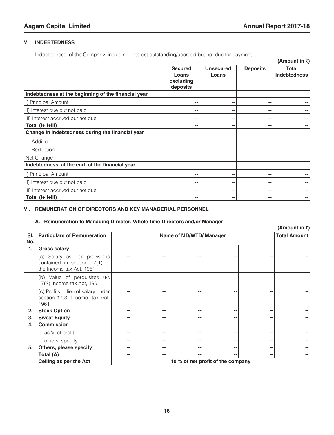#### **V. INDEBTEDNESS**

Indebtedness of the Company including interest outstanding/accrued but not due for payment

|                                                     |                                                  |                           |                   | (Amount in $\bar{z}$ )              |
|-----------------------------------------------------|--------------------------------------------------|---------------------------|-------------------|-------------------------------------|
|                                                     | <b>Secured</b><br>Loans<br>excluding<br>deposits | <b>Unsecured</b><br>Loans | <b>Deposits</b>   | <b>Total</b><br><b>Indebtedness</b> |
| Indebtedness at the beginning of the financial year |                                                  |                           |                   |                                     |
| i) Principal Amount                                 |                                                  | $- -$                     | $- -$             |                                     |
| ii) Interest due but not paid                       |                                                  | $- -$                     | $-$               |                                     |
| iii) Interest accrued but not due                   |                                                  | $- -$                     | $- -$             |                                     |
| Total (i+ii+iii)                                    |                                                  | --                        | --                |                                     |
| Change in Indebtedness during the financial year    |                                                  |                           |                   |                                     |
| - Addition                                          |                                                  | --                        | $- -$             |                                     |
| - Reduction                                         | --                                               | $- -$                     | $-$               |                                     |
| Net Change                                          |                                                  | --                        | --                |                                     |
| Indebtedness at the end of the financial year       |                                                  |                           |                   |                                     |
| i) Principal Amount                                 |                                                  | $-$                       | $- -$             |                                     |
| ii) Interest due but not paid                       |                                                  | --                        | --                |                                     |
| iii) Interest accrued but not due                   |                                                  | $- -$                     | $\qquad \qquad -$ |                                     |
| Total (i+ii+iii)                                    |                                                  | --                        | --                |                                     |

#### **VI. REMUNERATION OF DIRECTORS AND KEY MANAGERIAL PERSONNEL**

#### **A. Remuneration to Managing Director, Whole-time Directors and/or Manager**

|            |                                                                                             |                                   |     |                         |    |    | (Amount in ₹)       |
|------------|---------------------------------------------------------------------------------------------|-----------------------------------|-----|-------------------------|----|----|---------------------|
| SI.<br>No. | <b>Particulars of Remuneration</b>                                                          |                                   |     | Name of MD/WTD/ Manager |    |    | <b>Total Amount</b> |
| 1.         | <b>Gross salary</b>                                                                         |                                   |     |                         |    |    |                     |
|            | (a) Salary as per provisions<br>contained in section $17(1)$ of<br>the Income-tax Act, 1961 |                                   |     |                         |    |    |                     |
|            | (b) Value of perquisites u/s<br>17(2) Income-tax Act, 1961                                  |                                   |     |                         |    |    |                     |
|            | (c) Profits in lieu of salary under<br>section 17(3) Income- tax Act,<br>1961               |                                   |     |                         |    |    |                     |
| 2.         | <b>Stock Option</b>                                                                         | $\sim$                            | --  | --                      | -- | -- |                     |
| 3.         | <b>Sweat Equity</b>                                                                         | $- -$                             | --  |                         | -- | -- |                     |
| 4.         | <b>Commission</b>                                                                           |                                   |     |                         |    |    |                     |
|            | - as % of profit                                                                            | $\qquad \qquad -$                 | $-$ |                         |    | -- |                     |
|            | others, specify                                                                             | $ -$                              | --  |                         |    | -- |                     |
| 5.         | Others, please specify                                                                      | $\sim$ $-$                        | н.  |                         | -- | -- |                     |
|            | Total (A)                                                                                   | $\overline{\phantom{m}}$          | н.  |                         | -- | -- |                     |
|            | Ceiling as per the Act                                                                      | 10 % of net profit of the company |     |                         |    |    |                     |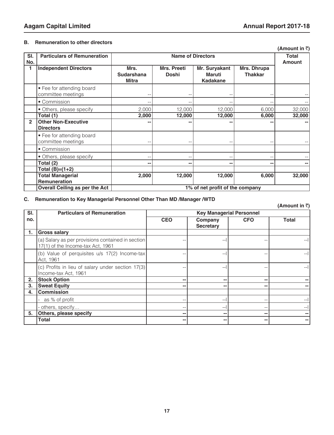#### **B. Remuneration to other directors**

| SI.            | <b>Particulars of Remuneration</b> |                                 |              | <b>Name of Directors</b> |                | <b>Total</b>  |
|----------------|------------------------------------|---------------------------------|--------------|--------------------------|----------------|---------------|
| No.            |                                    |                                 |              |                          |                | <b>Amount</b> |
|                | <b>Independent Directors</b>       | Mrs.                            | Mrs. Preeti  | Mr. Suryakant            | Mrs. Dhrupa    |               |
|                |                                    | <b>Sudarshana</b>               | <b>Doshi</b> | Maruti                   | <b>Thakkar</b> |               |
|                |                                    | <b>Mitra</b>                    |              | <b>Kadakane</b>          |                |               |
|                |                                    |                                 |              |                          |                |               |
|                | • Fee for attending board          |                                 |              |                          |                |               |
|                | committee meetings                 |                                 |              |                          |                |               |
|                | • Commission                       |                                 |              |                          |                |               |
|                | • Others, please specify           | 2,000                           | 12,000       | 12,000                   | 6,000          | 32,000        |
|                | Total (1)                          | 2,000                           | 12,000       | 12,000                   | 6,000          | 32,000        |
| $\overline{2}$ | <b>Other Non-Executive</b>         |                                 |              |                          |                |               |
|                | <b>Directors</b>                   |                                 |              |                          |                |               |
|                | • Fee for attending board          |                                 |              |                          |                |               |
|                | committee meetings                 |                                 |              |                          |                |               |
|                | • Commission                       |                                 |              |                          |                |               |
|                | • Others, please specify           | $-$                             |              | --                       |                |               |
|                | Total (2)                          | н.                              | --           | --                       | н.             |               |
|                | Total (B)=(1+2)                    |                                 |              |                          |                |               |
|                | <b>Total Managerial</b>            | 2,000                           | 12,000       | 12,000                   | 6,000          | 32,000        |
|                | <b>Remuneration</b>                |                                 |              |                          |                |               |
|                | Overall Ceiling as per the Act     | 1% of net profit of the company |              |                          |                |               |

#### **C. Remuneration to Key Managerial Personnel Other Than MD /Manager /WTD**

#### **(Amount in** `**) Sl. no. Particulars of Remuneration Key Managerial Personnel CEO Company Secretary CFO Total 1. Gross salary** (a) Salary as per provisions contained in section 17(1) of the Income-tax Act, 1961 -- --l -- --l (b) Value of perquisites u/s 17(2) Income-tax Act, 1961 -- --l -- --l (c) Profits in lieu of salary under section 17(3) Income-tax Act, 1961 -- --l -- --l **2. Stock Option -- -- -- -- 3. Sweat Equity -- -- -- -- 4. Commission** - as % of profit  $-$ - others, specify… -- --l -- --l **5. Others, please specify -- -- -- -- Total -- -- -- --**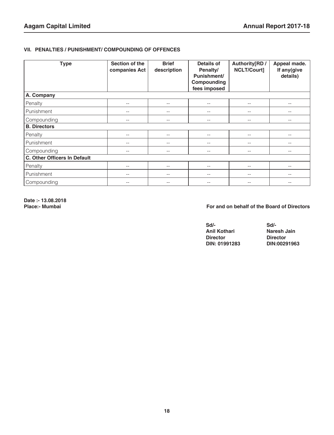#### **VII. PENALTIES / PUNISHMENT/ COMPOUNDING OF OFFENCES**

| <b>Type</b>                  | Section of the<br>companies Act | <b>Brief</b><br>description | <b>Details of</b><br>Penalty/<br>Punishment/<br>Compounding<br>fees imposed | Authority[RD /<br>NCLT/Court] | Appeal made.<br>If any(give<br>details) |
|------------------------------|---------------------------------|-----------------------------|-----------------------------------------------------------------------------|-------------------------------|-----------------------------------------|
| A. Company                   |                                 |                             |                                                                             |                               |                                         |
| Penalty                      | $- -$                           | $- -$                       | $-\,-$                                                                      | $\qquad \qquad -$             | --                                      |
| Punishment                   | $-$                             | $- -$                       | $--$                                                                        | $-$                           | $- -$                                   |
| Compounding                  | $- -$                           | $- -$                       | $-\,-$                                                                      | $-\, -$                       | --                                      |
| <b>B. Directors</b>          |                                 |                             |                                                                             |                               |                                         |
| Penalty                      | $- -$                           | $-$                         | $\qquad \qquad -$                                                           | --                            |                                         |
| Punishment                   | $- -$                           | $- -$                       | $-\,-$                                                                      | $\qquad \qquad -$             | --                                      |
| Compounding                  | $- -$                           | $-$                         | $- -$                                                                       | $- -$                         | --                                      |
| C. Other Officers In Default |                                 |                             |                                                                             |                               |                                         |
| Penalty                      | $- -$                           | $- -$                       | $-\,-$                                                                      | $\qquad \qquad -$             | --                                      |
| Punishment                   | $-\,-$                          | $-\,-$                      | $-\,-$                                                                      | $-\, -$                       | $\qquad \qquad -$                       |
| Compounding                  |                                 |                             | $- -$                                                                       |                               |                                         |

**Date :- 13.08.2018**

#### For and on behalf of the Board of Directors

| Sd/-            | $Sd$ -          |
|-----------------|-----------------|
| Anil Kothari    | Naresh Jain     |
| <b>Director</b> | <b>Director</b> |
| DIN: 01991283   | DIN:00291963    |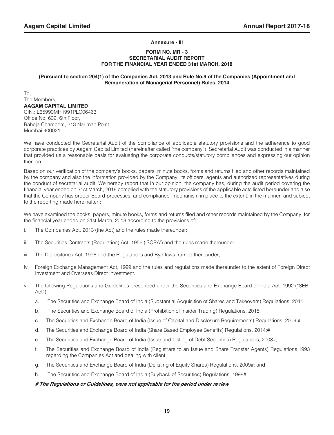#### **Annexure - III**

#### **FORM NO. MR - 3 SECRETARIAL AUDIT REPORT FOR THE FINANCIAL YEAR ENDED 31st MARCH, 2018**

#### **(Pursuant to section 204(1) of the Companies Act, 2013 and Rule No.9 of the Companies (Appointment and Remuneration of Managerial Personnel) Rules, 2014**

To, The Members, **AAGAM CAPITAL LIMITED** CIN.: L65990MH1991PLC064631 Office No. 602, 6th Floor, Raheja Chambers, 213 Nariman Point Mumbai 400021

We have conducted the Secretarial Audit of the compliance of applicable statutory provisions and the adherence to good corporate practices by Aagam Capital Limited (hereinafter called "the company"). Secretarial Audit was conducted in a manner that provided us a reasonable basis for evaluating the corporate conducts/statutory compliances and expressing our opinion thereon.

Based on our verification of the company's books, papers, minute books, forms and returns filed and other records maintained by the company and also the information provided by the Company, its officers, agents and authorized representatives during the conduct of secretarial audit, We hereby report that in our opinion, the company has, during the audit period covering the financial year ended on 31st March, 2018 complied with the statutory provisions of the applicable acts listed hereunder and also that the Company has proper Board-processes and compliance- mechanism in place to the extent, in the manner and subject to the reporting made hereinafter :

We have examined the books, papers, minute books, forms and returns filed and other records maintained by the Company, for the financial year ended on 31st March, 2018 according to the provisions of:

- i. The Companies Act, 2013 (the Act) and the rules made thereunder;
- ii. The Securities Contracts (Regulation) Act, 1956 ('SCRA') and the rules made thereunder;
- iii. The Depositories Act, 1996 and the Regulations and Bye-laws framed thereunder;
- iv. Foreign Exchange Management Act, 1999 and the rules and regulations made thereunder to the extent of Foreign Direct Investment and Overseas Direct Investment.
- v. The following Regulations and Guidelines prescribed under the Securities and Exchange Board of India Act, 1992 ("SEBI Act");
	- a. The Securities and Exchange Board of India (Substantial Acquisition of Shares and Takeovers) Regulations, 2011;
	- b. The Securities and Exchange Board of India (Prohibition of Insider Trading) Regulations, 2015;
	- c. The Securities and Exchange Board of India (Issue of Capital and Disclosure Requirements) Regulations, 2009;#
	- d. The Securities and Exchange Board of India (Share Based Employee Benefits) Regulations, 2014;#
	- e. The Securities and Exchange Board of India (Issue and Listing of Debt Securities) Regulations, 2008#;
	- f. The Securities and Exchange Board of India (Registrars to an Issue and Share Transfer Agents) Regulations,1993 regarding the Companies Act and dealing with client;
	- g. The Securities and Exchange Board of India (Delisting of Equity Shares) Regulations, 2009#; and
	- h. The Securities and Exchange Board of India (Buyback of Securities) Regulations, 1998#.

#### **# The Regulations or Guidelines, were not applicable for the period under review**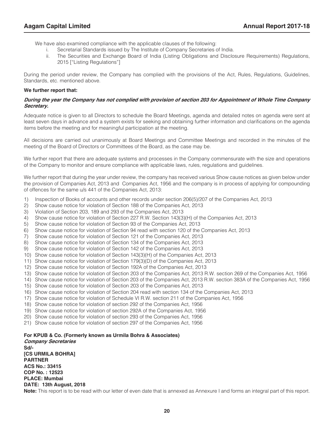We have also examined compliance with the applicable clauses of the following:

- i. Secretarial Standards issued by The Institute of Company Secretaries of India.
- ii. The Securities and Exchange Board of India (Listing Obligations and Disclosure Requirements) Regulations, 2015 ["Listing Regulations"]

During the period under review, the Company has complied with the provisions of the Act, Rules, Regulations, Guidelines, Standards, etc. mentioned above.

#### **We further report that:**

#### **During the year the Company has not complied with provision of section 203 for Appointment of Whole Time Company Secretary.**

Adequate notice is given to all Directors to schedule the Board Meetings, agenda and detailed notes on agenda were sent at least seven days in advance and a system exists for seeking and obtaining further information and clarifications on the agenda items before the meeting and for meaningful participation at the meeting.

All decisions are carried out unanimously at Board Meetings and Committee Meetings and recorded in the minutes of the meeting of the Board of Directors or Committees of the Board, as the case may be.

We further report that there are adequate systems and processes in the Company commensurate with the size and operations of the Company to monitor and ensure compliance with applicable laws, rules, regulations and guidelines.

We further report that during the year under review, the company has received various Show cause notices as given below under the provision of Companies Act, 2013 and Companies Act, 1956 and the company is in process of applying for compounding of offences for the same u/s 441 of the Companies Act, 2013:

- 1) Inspection of Books of accounts and other records under section 206(5)/207 of the Companies Act, 2013
- 2) Show cause notice for violation of Section 188 of the Companies Act, 2013
- 3) Violation of Section 203, 189 and 293 of the Companies Act, 2013
- 4) Show cause notice for violation of Section 227 R.W. Section 143(3)(H) of the Companies Act, 2013
- 5) Show cause notice for violation of Section 93 of the Companies Act, 2013
- 6) Show cause notice for violation of Section 94 read with section 120 of the Companies Act, 2013
- 7) Show cause notice for violation of Section 121 of the Companies Act, 2013
- 8) Show cause notice for violation of Section 134 of the Companies Act, 2013
- 9) Show cause notice for violation of Section 142 of the Companies Act, 2013
- 10) Show cause notice for violation of Section 143(3)(H) of the Companies Act, 2013
- 11) Show cause notice for violation of Section 179(3)(D) of the Companies Act, 2013
- 12) Show cause notice for violation of Section 192A of the Companies Act, 2013
- 13) Show cause notice for violation of Section 203 of the Companies Act, 2013 R.W. section 269 of the Companies Act, 1956
- 14) Show cause notice for violation of Section 203 of the Companies Act, 2013 R.W. section 383A of the Companies Act, 1956
- 15) Show cause notice for violation of Section 203 of the Companies Act, 2013
- 16) Show cause notice for violation of Section 204 read with section 134 of the Companies Act, 2013
- 17) Show cause notice for violation of Schedule VI R.W. section 211 of the Companies Act, 1956
- 18) Show cause notice for violation of section 292 of the Companies Act, 1956
- 19) Show cause notice for violation of section 292A of the Companies Act, 1956
- 20) Show cause notice for violation of section 293 of the Companies Act, 1956
- 21) Show cause notice for violation of section 297 of the Companies Act, 1956

#### **For KPUB & Co. (Formerly known as Urmila Bohra & Associates)**

**Company Secretaries Sd/- [CS URMILA BOHRA] PARTNER ACS No.: 33415 COP No. : 12523 PLACE: Mumbai DATE: 13th August, 2018**

**Note:** This report is to be read with our letter of even date that is annexed as Annexure I and forms an integral part of this report.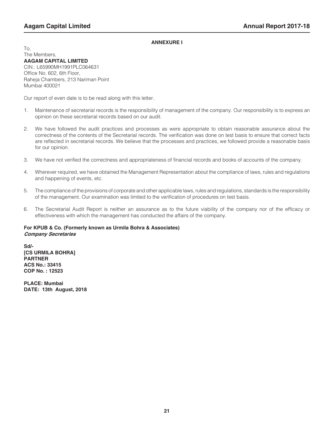#### **ANNEXURE I**

To, The Members, **AAGAM CAPITAL LIMITED** CIN.: L65990MH1991PLC064631 Office No. 602, 6th Floor, Raheja Chambers, 213 Nariman Point Mumbai 400021

Our report of even date is to be read along with this letter.

- 1. Maintenance of secretarial records is the responsibility of management of the company. Our responsibility is to express an opinion on these secretarial records based on our audit.
- 2. We have followed the audit practices and processes as were appropriate to obtain reasonable assurance about the correctness of the contents of the Secretarial records. The verification was done on test basis to ensure that correct facts are reflected in secretarial records. We believe that the processes and practices, we followed provide a reasonable basis for our opinion.
- 3. We have not verified the correctness and appropriateness of financial records and books of accounts of the company.
- 4. Wherever required, we have obtained the Management Representation about the compliance of laws, rules and regulations and happening of events, etc.
- 5. The compliance of the provisions of corporate and other applicable laws, rules and regulations, standards is the responsibility of the management. Our examination was limited to the verification of procedures on test basis.
- 6. The Secretarial Audit Report is neither an assurance as to the future viability of the company nor of the efficacy or effectiveness with which the management has conducted the affairs of the company.

#### **For KPUB & Co. (Formerly known as Urmila Bohra & Associates) Company Secretaries**

**Sd/- [CS URMILA BOHRA] PARTNER ACS No.: 33415 COP No. : 12523**

**PLACE: Mumbai DATE: 13th August, 2018**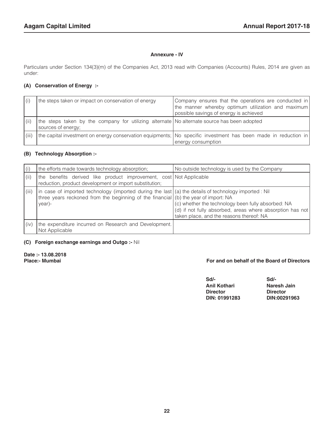#### **Annexure - IV**

Particulars under Section 134(3)(m) of the Companies Act, 2013 read with Companies (Accounts) Rules, 2014 are given as under:

#### **(A) Conservation of Energy :-**

| (i)   | the steps taken or impact on conservation of energy                                                               | Company ensures that the operations are conducted in<br>the manner whereby optimum utilization and maximum<br>possible savings of energy is achieved |
|-------|-------------------------------------------------------------------------------------------------------------------|------------------------------------------------------------------------------------------------------------------------------------------------------|
|       | the steps taken by the company for utilizing alternate No alternate source has been adopted<br>sources of energy; |                                                                                                                                                      |
| (iii) |                                                                                                                   | the capital investment on energy conservation equipments; No specific investment has been made in reduction in<br>energy consumption                 |

#### **(B) Technology Absorption :-**

| (i)   | the efforts made towards technology absorption;                                                                                                                                                          | No outside technology is used by the Company                                                                                                                |  |  |
|-------|----------------------------------------------------------------------------------------------------------------------------------------------------------------------------------------------------------|-------------------------------------------------------------------------------------------------------------------------------------------------------------|--|--|
| (ii)  | the benefits derived like product improvement, cost Not Applicable<br>reduction, product development or import substitution;                                                                             |                                                                                                                                                             |  |  |
| (iii) | in case of imported technology (imported during the last (a) the details of technology imported : Nil<br>three years reckoned from the beginning of the financial $(6)$ the year of import: NA<br>year)- | (c) whether the technology been fully absorbed: NA<br>(d) if not fully absorbed, areas where absorption has not<br>taken place, and the reasons thereof: NA |  |  |
| (iv)  | the expenditure incurred on Research and Development.<br>Not Applicable                                                                                                                                  |                                                                                                                                                             |  |  |

#### **(C) Foreign exchange earnings and Outgo :-** Nil

**Date :- 13.08.2018**

#### For and on behalf of the Board of Directors

| Sd                  | Sd/-            |
|---------------------|-----------------|
| <b>Anil Kothari</b> | Naresh Jain     |
| <b>Director</b>     | <b>Director</b> |
| DIN: 01991283       | DIN:00291963    |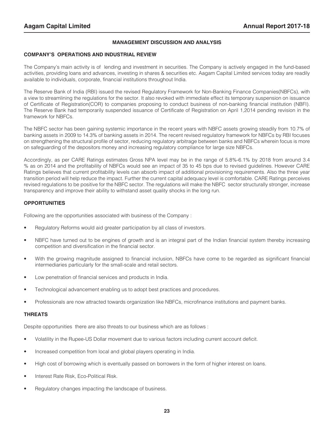#### **MANAGEMENT DISCUSSION AND ANALYSIS**

#### **COMPANY'S OPERATIONS AND INDUSTRIAL REVIEW**

The Company's main activity is of lending and investment in securities. The Company is actively engaged in the fund-based activities, providing loans and advances, investing in shares & securities etc. Aagam Capital Limited services today are readily available to individuals, corporate, financial institutions throughout India.

The Reserve Bank of India (RBI) issued the revised Regulatory Framework for Non-Banking Finance Companies(NBFCs), with a view to streamlining the regulations for the sector. It also revoked with immediate effect its temporary suspension on issuance of Certificate of Registration(COR) to companies proposing to conduct business of non-banking financial institution (NBFI). The Reserve Bank had temporarily suspended issuance of Certificate of Registration on April 1,2014 pending revision in the framework for NBFCs.

The NBFC sector has been gaining systemic importance in the recent years with NBFC assets growing steadily from 10.7% of banking assets in 2009 to 14.3% of banking assets in 2014. The recent revised regulatory framework for NBFCs by RBI focuses on strengthening the structural profile of sector, reducing regulatory arbitrage between banks and NBFCs wherein focus is more on safeguarding of the depositors money and increasing regulatory compliance for large size NBFCs.

Accordingly, as per CARE Ratings estimates Gross NPA level may be in the range of 5.8%-6.1% by 2018 from around 3.4 % as on 2014 and the profitability of NBFCs would see an impact of 35 to 45 bps due to revised guidelines. However CARE Ratings believes that current profitability levels can absorb impact of additional provisioning requirements. Also the three year transition period will help reduce the impact. Further the current capital adequacy level is comfortable. CARE Ratings perceives revised regulations to be positive for the NBFC sector. The regulations will make the NBFC sector structurally stronger, increase transparency and improve their ability to withstand asset quality shocks in the long run.

#### **OPPORTUNITIES**

Following are the opportunities associated with business of the Company :

- Regulatory Reforms would aid greater participation by all class of investors.
- NBFC have turned out to be engines of growth and is an integral part of the Indian financial system thereby increasing competition and diversification in the financial sector.
- With the growing magnitude assigned to financial inclusion, NBFCs have come to be regarded as significant financial intermediaries particularly for the small-scale and retail sectors.
- Low penetration of financial services and products in India.
- Technological advancement enabling us to adopt best practices and procedures.
- Professionals are now attracted towards organization like NBFCs, microfinance institutions and payment banks.

#### **THREATS**

Despite opportunities there are also threats to our business which are as follows :

- Volatility in the Rupee-US Dollar movement due to various factors including current account deficit.
- Increased competition from local and global players operating in India.
- High cost of borrowing which is eventually passed on borrowers in the form of higher interest on loans.
- Interest Rate Risk, Eco-Political Risk.
- Regulatory changes impacting the landscape of business.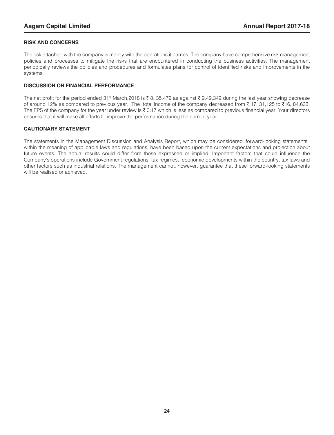#### **RISK AND CONCERNS**

The risk attached with the company is mainly with the operations it carries. The company have comprehensive risk management policies and processes to mitigate the risks that are encountered in conducting the business activities. The management periodically reviews the policies and procedures and formulates plans for control of identified risks and improvements in the systems.

#### **DISCUSSION ON FINANCIAL PERFORMANCE**

The net profit for the period ended 31<sup>st</sup> March,2018 is ₹8, 35,479 as against ₹9,49,349 during the last year showing decrease of around 12% as compared to previous year. The total income of the company decreased from  $\bar{z}$  17, 31,125 to  $\bar{z}$ 16, 84,633. The EPS of the company for the year under review is  $\bar{\xi}$  0.17 which is less as compared to previous financial year. Your directors ensures that it will make all efforts to improve the performance during the current year.

#### **CAUTIONARY STATEMENT**

The statements in the Management Discussion and Analysis Report, which may be considered 'forward-looking statements', within the meaning of applicable laws and regulations, have been based upon the current expectations and projection about future events. The actual results could differ from those expressed or implied. Important factors that could influence the Company's operations include Government regulations, tax regimes, economic developments within the country, tax laws and other factors such as industrial relations. The management cannot, however, guarantee that these forward-looking statements will be realised or achieved.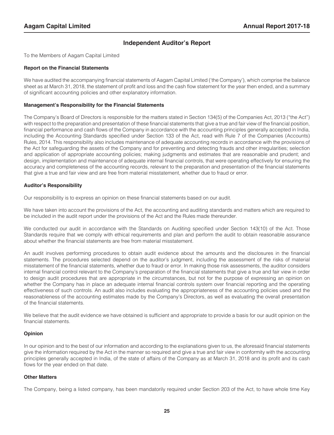#### **Independent Auditor's Report**

To the Members of Aagam Capital Limited

#### **Report on the Financial Statements**

We have audited the accompanying financial statements of Aagam Capital Limited ('the Company'), which comprise the balance sheet as at March 31, 2018, the statement of profit and loss and the cash flow statement for the year then ended, and a summary of significant accounting policies and other explanatory information.

#### **Management's Responsibility for the Financial Statements**

The Company's Board of Directors is responsible for the matters stated in Section 134(5) of the Companies Act, 2013 ("the Act") with respect to the preparation and presentation of these financial statements that give a true and fair view of the financial position, financial performance and cash flows of the Company in accordance with the accounting principles generally accepted in India, including the Accounting Standards specified under Section 133 of the Act, read with Rule 7 of the Companies (Accounts) Rules, 2014. This responsibility also includes maintenance of adequate accounting records in accordance with the provisions of the Act for safeguarding the assets of the Company and for preventing and detecting frauds and other irregularities; selection and application of appropriate accounting policies; making judgments and estimates that are reasonable and prudent; and design, implementation and maintenance of adequate internal financial controls, that were operating effectively for ensuring the accuracy and completeness of the accounting records, relevant to the preparation and presentation of the financial statements that give a true and fair view and are free from material misstatement, whether due to fraud or error.

#### **Auditor's Responsibility**

Our responsibility is to express an opinion on these financial statements based on our audit.

We have taken into account the provisions of the Act, the accounting and auditing standards and matters which are required to be included in the audit report under the provisions of the Act and the Rules made thereunder.

We conducted our audit in accordance with the Standards on Auditing specified under Section 143(10) of the Act. Those Standards require that we comply with ethical requirements and plan and perform the audit to obtain reasonable assurance about whether the financial statements are free from material misstatement.

An audit involves performing procedures to obtain audit evidence about the amounts and the disclosures in the financial statements. The procedures selected depend on the auditor's judgment, including the assessment of the risks of material misstatement of the financial statements, whether due to fraud or error. In making those risk assessments, the auditor considers internal financial control relevant to the Company's preparation of the financial statements that give a true and fair view in order to design audit procedures that are appropriate in the circumstances, but not for the purpose of expressing an opinion on whether the Company has in place an adequate internal financial controls system over financial reporting and the operating effectiveness of such controls. An audit also includes evaluating the appropriateness of the accounting policies used and the reasonableness of the accounting estimates made by the Company's Directors, as well as evaluating the overall presentation of the financial statements.

We believe that the audit evidence we have obtained is sufficient and appropriate to provide a basis for our audit opinion on the financial statements.

#### **Opinion**

In our opinion and to the best of our information and according to the explanations given to us, the aforesaid financial statements give the information required by the Act in the manner so required and give a true and fair view in conformity with the accounting principles generally accepted in India, of the state of affairs of the Company as at March 31, 2018 and its profit and its cash flows for the year ended on that date.

#### **Other Matters**

The Company, being a listed company, has been mandatorily required under Section 203 of the Act, to have whole time Key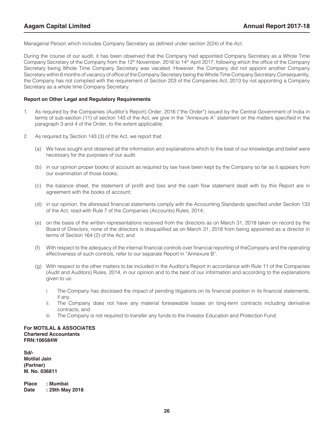Managerial Person which includes Company Secretary as defined under section 2(24) of the Act.

During the course of our audit, it has been observed that the Company had appointed Company Secretary as a Whole Time Company Secretary of the Company from the 12<sup>th</sup> November, 2016 to 14<sup>th</sup> April 2017, following which the office of the Company Secretary being Whole Time Company Secretary was vacated. However, the Company did not appoint another Company Secretary within 6 months of vacancy of office of the Company Secretary being the Whole Time Company Secretary.Consequently, the Company has not complied with the requirement of Section 203 of the Companies Act, 2013 by not appointing a Company Secretary as a whole time Company Secretary.

#### **Report on Other Legal and Regulatory Requirements**

- 1. As required by the Companies (Auditor's Report) Order, 2016 ("the Order") issued by the Central Government of India in terms of sub-section (11) of section 143 of the Act, we give in the "Annexure A" statement on the matters specified in the paragraph 3 and 4 of the Order, to the extent applicable.
- 2. As required by Section 143 (3) of the Act, we report that:
	- (a) We have sought and obtained all the information and explanations which to the best of our knowledge and belief were necessary for the purposes of our audit.
	- (b) in our opinion proper books of account as required by law have been kept by the Company so far as it appears from our examination of those books;
	- (c) the balance sheet, the statement of profit and loss and the cash flow statement dealt with by this Report are in agreement with the books of account;
	- (d) in our opinion, the aforesaid financial statements comply with the Accounting Standards specified under Section 133 of the Act, read with Rule 7 of the Companies (Accounts) Rules, 2014;
	- (e) on the basis of the written representations received from the directors as on March 31, 2018 taken on record by the Board of Directors, none of the directors is disqualified as on March 31, 2018 from being appointed as a director in terms of Section 164 (2) of the Act; and
	- (f) With respect to the adequacy of the internal financial controls over financial reporting of theCompany and the operating effectiveness of such controls, refer to our separate Report in "Annexure B".
	- (g) With respect to the other matters to be included in the Auditor's Report in accordance with Rule 11 of the Companies (Audit and Auditors) Rules, 2014, in our opinion and to the best of our information and according to the explanations given to us:
		- i. The Company has disclosed the impact of pending litigations on its financial position in its financial statements, if any.
		- ii. The Company does not have any material foreseeable losses on long-term contracts including derivative contracts, and
		- iii. The Company is not required to transfer any funds to the Investor Education and Protection Fund.

#### **For MOTILAL & ASSOCIATES Chartered Accountants FRN:106584W**

**Sd/- Motilal Jain (Partner) M. No. 036811**

**Place : Mumbai Date : 29th May 2018**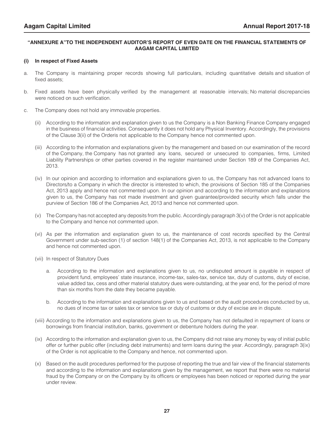#### **"ANNEXURE A"TO THE INDEPENDENT AUDITOR'S REPORT OF EVEN DATE ON THE FINANCIAL STATEMENTS OF AAGAM CAPITAL LIMITED**

#### **(i) In respect of Fixed Assets**

- a. The Company is maintaining proper records showing full particulars, including quantitative details and situation of fixed assets;
- b. Fixed assets have been physically verified by the management at reasonable intervals; No material discrepancies were noticed on such verification.
- c. The Company does not hold any immovable properties.
	- (ii) According to the information and explanation given to us the Company is a Non Banking Finance Company engaged in the business of financial activities. Consequently it does not hold any Physical Inventory. Accordingly, the provisions of the Clause 3(ii) of the Orderis not applicable to the Company hence not commented upon.
	- (iii) According to the information and explanations given by the management and based on our examination of the record of the Company, the Company has not granted any loans, secured or unsecured to companies, firms, Limited Liability Partnerships or other parties covered in the register maintained under Section 189 of the Companies Act, 2013.
	- (iv) In our opinion and according to information and explanations given to us, the Company has not advanced loans to Directors/to a Company in which the director is interested to which, the provisions of Section 185 of the Companies Act, 2013 apply and hence not commented upon. In our opinion and according to the information and explanations given to us, the Company has not made investment and given guarantee/provided security which falls under the purview of Section 186 of the Companies Act, 2013 and hence not commented upon.
	- (v) The Company has not accepted any deposits from the public. Accordingly paragraph 3(v) of the Order is not applicable to the Company and hence not commented upon.
	- (vi) As per the information and explanation given to us, the maintenance of cost records specified by the Central Government under sub-section (1) of section 148(1) of the Companies Act, 2013, is not applicable to the Company and hence not commented upon.
	- (vii) In respect of Statutory Dues
		- a. According to the information and explanations given to us, no undisputed amount is payable in respect of provident fund, employees' state insurance, income-tax, sales-tax, service tax, duty of customs, duty of excise, value added tax, cess and other material statutory dues were outstanding, at the year end, for the period of more than six months from the date they became payable.
		- b. According to the information and explanations given to us and based on the audit procedures conducted by us, no dues of income tax or sales tax or service tax or duty of customs or duty of excise are in dispute.
	- (viii) According to the information and explanations given to us, the Company has not defaulted in repayment of loans or borrowings from financial institution, banks, government or debenture holders during the year.
	- (ix) According to the information and explanation given to us, the Company did not raise any money by way of initial public offer or further public offer (including debt instruments) and term loans during the year. Accordingly, paragraph 3(ix) of the Order is not applicable to the Company and hence, not commented upon.
	- (x) Based on the audit procedures performed for the purpose of reporting the true and fair view of the financial statements and according to the information and explanations given by the management, we report that there were no material fraud by the Company or on the Company by its officers or employees has been noticed or reported during the year under review.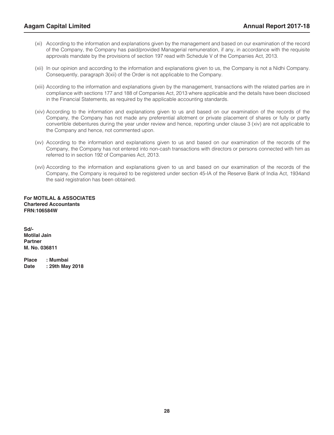- (xi) According to the information and explanations given by the management and based on our examination of the record of the Company, the Company has paid/provided Managerial remuneration, if any, in accordance with the requisite approvals mandate by the provisions of section 197 read with Schedule V of the Companies Act, 2013.
- (xii) In our opinion and according to the information and explanations given to us, the Company is not a Nidhi Company. Consequently, paragraph 3(xii) of the Order is not applicable to the Company.
- (xiii) According to the information and explanations given by the management, transactions with the related parties are in compliance with sections 177 and 188 of Companies Act, 2013 where applicable and the details have been disclosed in the Financial Statements, as required by the applicable accounting standards.
- (xiv) According to the information and explanations given to us and based on our examination of the records of the Company, the Company has not made any preferential allotment or private placement of shares or fully or partly convertible debentures during the year under review and hence, reporting under clause 3 (xiv) are not applicable to the Company and hence, not commented upon.
- (xv) According to the information and explanations given to us and based on our examination of the records of the Company, the Company has not entered into non-cash transactions with directors or persons connected with him as referred to in section 192 of Companies Act, 2013.
- (xvi) According to the information and explanations given to us and based on our examination of the records of the Company, the Company is required to be registered under section 45-IA of the Reserve Bank of India Act, 1934and the said registration has been obtained.

**For MOTILAL & ASSOCIATES Chartered Accountants FRN:106584W**

**Sd/- Motilal Jain Partner M. No. 036811**

**Place : Mumbai Date : 29th May 2018**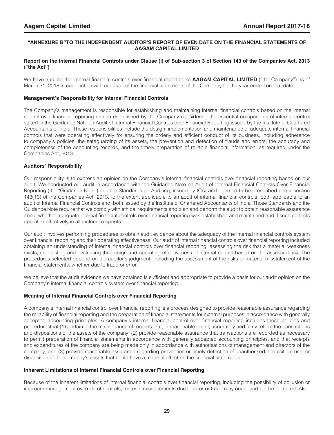#### **"ANNEXURE B"TO THE INDEPENDENT AUDITOR'S REPORT OF EVEN DATE ON THE FINANCIAL STATEMENTS OF AAGAM CAPITAL LIMITED**

#### **Report on the Internal Financial Controls under Clause (i) of Sub-section 3 of Section 143 of the Companies Act, 2013 ("the Act")**

We have audited the internal financial controls over financial reporting of **AAGAM CAPITAL LIMITED** ("the Company") as of March 31, 2018 in conjunction with our audit of the financial statements of the Company for the year ended on that date.

#### **Management's Responsibility for Internal Financial Controls**

The Company's management is responsible for establishing and maintaining internal financial controls based on the internal control over financial reporting criteria established by the Company considering the essential components of internal control stated in the Guidance Note on Audit of Internal Financial Controls over Financial Reporting issued by the Institute of Chartered Accountants of India. These responsibilities include the design, implementation and maintenance of adequate internal financial controls that were operating effectively for ensuring the orderly and efficient conduct of its business, including adherence to company's policies, the safeguarding of its assets, the prevention and detection of frauds and errors, the accuracy and completeness of the accounting records, and the timely preparation of reliable financial information, as required under the Companies Act, 2013.

#### **Auditors' Responsibility**

Our responsibility is to express an opinion on the Company's internal financial controls over financial reporting based on our audit. We conducted our audit in accordance with the Guidance Note on Audit of Internal Financial Controls Over Financial Reporting (the "Guidance Note") and the Standards on Auditing, issued by ICAI and deemed to be prescribed under section 143(10) of the Companies Act, 2013, to the extent applicable to an audit of internal financial controls, both applicable to an audit of Internal Financial Controls and, both issued by the Institute of Chartered Accountants of India. Those Standards and the Guidance Note require that we comply with ethical requirements and plan and perform the audit to obtain reasonable assurance about whether adequate internal financial controls over financial reporting was established and maintained and if such controls operated effectively in all material respects.

Our audit involves performing procedures to obtain audit evidence about the adequacy of the internal financial controls system over financial reporting and their operating effectiveness. Our audit of internal financial controls over financial reporting included obtaining an understanding of internal financial controls over financial reporting, assessing the risk that a material weakness exists, and testing and evaluating the design and operating effectiveness of internal control based on the assessed risk. The procedures selected depend on the auditor's judgment, including the assessment of the risks of material misstatement of the financial statements, whether due to fraud or error.

We believe that the audit evidence we have obtained is sufficient and appropriate to provide a basis for our audit opinion on the Company's internal financial controls system over financial reporting.

#### **Meaning of Internal Financial Controls over Financial Reporting**

A company's internal financial control over financial reporting is a process designed to provide reasonable assurance regarding the reliability of financial reporting and the preparation of financial statements for external purposes in accordance with generally accepted accounting principles. A company's internal financial control over financial reporting includes those policies and proceduresthat (1) pertain to the maintenance of records that, in reasonable detail, accurately and fairly reflect the transactions and dispositions of the assets of the company; (2) provide reasonable assurance that transactions are recorded as necessary to permit preparation of financial statements in accordance with generally accepted accounting principles, and that receipts and expenditures of the company are being made only in accordance with authorisations of management and directors of the company; and (3) provide reasonable assurance regarding prevention or timely detection of unauthorised acquisition, use, or disposition of the company's assets that could have a material effect on the financial statements.

#### **Inherent Limitations of Internal Financial Controls over Financial Reporting**

Because of the inherent limitations of internal financial controls over financial reporting, including the possibility of collusion or improper management override of controls, material misstatements due to error or fraud may occur and not be detected. Also,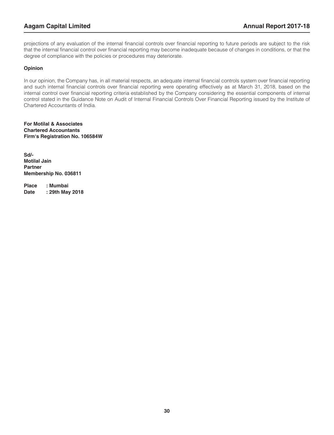projections of any evaluation of the internal financial controls over financial reporting to future periods are subject to the risk that the internal financial control over financial reporting may become inadequate because of changes in conditions, or that the degree of compliance with the policies or procedures may deteriorate.

#### **Opinion**

In our opinion, the Company has, in all material respects, an adequate internal financial controls system over financial reporting and such internal financial controls over financial reporting were operating effectively as at March 31, 2018, based on the internal control over financial reporting criteria established by the Company considering the essential components of internal control stated in the Guidance Note on Audit of Internal Financial Controls Over Financial Reporting issued by the Institute of Chartered Accountants of India.

**For Motilal & Associates Chartered Accountants Firm's Registration No. 106584W**

**Sd/- Motilal Jain Partner Membership No. 036811**

**Place : Mumbai Date : 29th May 2018**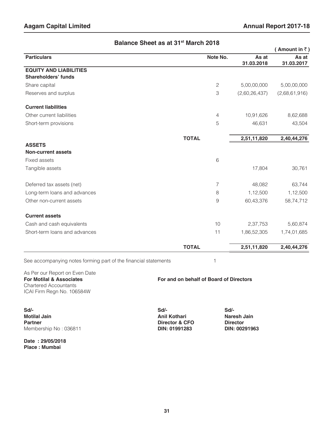|                               |              |                |                     | (Amount in $\bar{z}$ ) |
|-------------------------------|--------------|----------------|---------------------|------------------------|
| <b>Particulars</b>            |              | Note No.       | As at<br>31.03.2018 | As at<br>31.03.2017    |
| <b>EQUITY AND LIABILITIES</b> |              |                |                     |                        |
| <b>Shareholders' funds</b>    |              |                |                     |                        |
| Share capital                 |              | $\mathbf{2}$   | 5,00,00,000         | 5,00,00,000            |
| Reserves and surplus          |              | 3              | (2,60,26,437)       | (2,68,61,916)          |
| <b>Current liabilities</b>    |              |                |                     |                        |
| Other current liabilities     |              | 4              | 10,91,626           | 8,62,688               |
| Short-term provisions         |              | 5              | 46,631              | 43,504                 |
|                               | <b>TOTAL</b> |                | 2,51,11,820         | 2,40,44,276            |
| <b>ASSETS</b>                 |              |                |                     |                        |
| <b>Non-current assets</b>     |              |                |                     |                        |
| Fixed assets                  |              | $\,$ 6         |                     |                        |
| Tangible assets               |              |                | 17,804              | 30,761                 |
| Deferred tax assets (net)     |              | $\overline{7}$ | 48,082              | 63,744                 |
| Long-term loans and advances  |              | 8              | 1,12,500            | 1,12,500               |
| Other non-current assets      |              | 9              | 60,43,376           | 58,74,712              |
| <b>Current assets</b>         |              |                |                     |                        |
| Cash and cash equivalents     |              | 10             | 2,37,753            | 5,60,874               |
| Short-term loans and advances |              | 11             | 1,86,52,305         | 1,74,01,685            |
|                               | <b>TOTAL</b> |                | 2,51,11,820         | 2,40,44,276            |

#### **Balance Sheet as at 31st March 2018**

See accompanying notes forming part of the financial statements 1

As Per our Report on Even Date<br>For Motilal & Associates Chartered Accountants ICAI Firm Regn No. 106584W

**For and on behalf of Board of Directors** 

**Sd/- Sd/- Sd/- Motilal Jain Motilal Jain Anil Kothari Naresh Jain Partner Naresh Jain Partner Naresh Jain Partner Director Director Director Membership No: 036811** 

**Date : 29/05/2018 Place : Mumbai**

**Partner & CFO Partner Director PIN: 01991283 PIN: 00291963**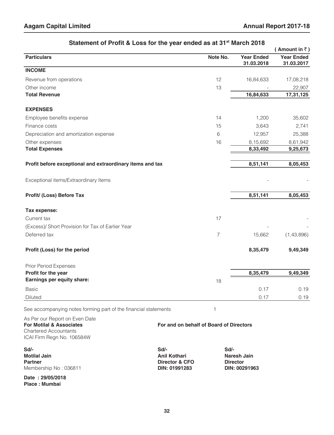|                                                           |                |                                 | (Amount in $\bar{z}$ )          |
|-----------------------------------------------------------|----------------|---------------------------------|---------------------------------|
| <b>Particulars</b>                                        | Note No.       | <b>Year Ended</b><br>31.03.2018 | <b>Year Ended</b><br>31.03.2017 |
| <b>INCOME</b>                                             |                |                                 |                                 |
| Revenue from operations                                   | 12             | 16,84,633                       | 17,08,218                       |
| Other income                                              | 13             |                                 | 22,907                          |
| <b>Total Revenue</b>                                      |                | 16,84,633                       | 17,31,125                       |
| <b>EXPENSES</b>                                           |                |                                 |                                 |
| Employee benefits expense                                 | 14             | 1,200                           | 35,602                          |
| Finance costs                                             | 15             | 3,643                           | 2,741                           |
| Depreciation and amortization expense                     | 6              | 12,957                          | 25,388                          |
| Other expenses                                            | 16             | 8,15,692                        | 8,61,942                        |
| <b>Total Expenses</b>                                     |                | 8,33,492                        | 9,25,673                        |
| Profit before exceptional and extraordinary items and tax |                | 8,51,141                        | 8,05,453                        |
| Exceptional items/Extraordinary Items                     |                |                                 |                                 |
| Profit/ (Loss) Before Tax                                 |                | 8,51,141                        | 8,05,453                        |
| Tax expense:                                              |                |                                 |                                 |
| Current tax                                               | 17             |                                 |                                 |
| (Excess)/ Short Provision for Tax of Earlier Year         |                |                                 |                                 |
| Deferred tax                                              | $\overline{7}$ | 15,662                          | (1,43,896)                      |
| Profit (Loss) for the period                              |                | 8,35,479                        | 9,49,349                        |
| <b>Prior Period Expenses</b>                              |                |                                 |                                 |
| Profit for the year                                       |                | 8,35,479                        | 9,49,349                        |
| Earnings per equity share:                                | 18             |                                 |                                 |
| <b>Basic</b>                                              |                | 0.17                            | 0.19                            |
| Diluted                                                   |                | 0.17                            | 0.19                            |
|                                                           |                |                                 |                                 |

#### **Statement of Profit & Loss for the year ended as at 31st March 2018**

See accompanying notes forming part of the financial statements 1

| As Per our Report on Even Date<br><b>For Motilal &amp; Associates</b><br><b>Chartered Accountants</b><br>ICAI Firm Regn No. 106584W | For and on behalf of Board of Directors                        |                                                         |  |
|-------------------------------------------------------------------------------------------------------------------------------------|----------------------------------------------------------------|---------------------------------------------------------|--|
| $Sd$ -<br><b>Motilal Jain</b><br><b>Partner</b><br>Membership No: 036811                                                            | Sd/-<br><b>Anil Kothari</b><br>Director & CFO<br>DIN: 01991283 | Sd/-<br>Naresh Jain<br><b>Director</b><br>DIN: 00291963 |  |
| Date: 29/05/2018<br>Place: Mumbai                                                                                                   |                                                                |                                                         |  |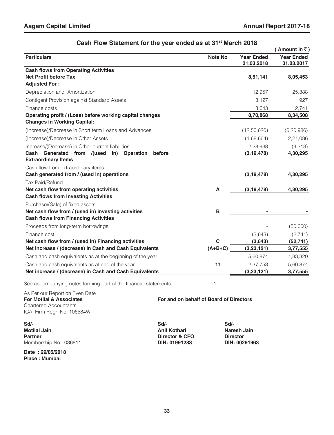|                                                                                     |                |                                 | Amount in $\bar{z}$ )           |
|-------------------------------------------------------------------------------------|----------------|---------------------------------|---------------------------------|
| <b>Particulars</b>                                                                  | <b>Note No</b> | <b>Year Ended</b><br>31.03.2018 | <b>Year Ended</b><br>31.03.2017 |
| <b>Cash flows from Operating Activities</b>                                         |                |                                 |                                 |
| <b>Net Profit before Tax</b>                                                        |                | 8,51,141                        | 8,05,453                        |
| <b>Adjusted For:</b>                                                                |                |                                 |                                 |
| Depreciation and Amortization                                                       |                | 12,957                          | 25,388                          |
| Contigent Provision against Standard Assets                                         |                | 3,127                           | 927                             |
| Finance costs                                                                       |                | 3,643                           | 2,741                           |
| Operating profit / (Loss) before working capital changes                            |                | 8,70,868                        | 8,34,508                        |
| <b>Changes in Working Capital:</b>                                                  |                |                                 |                                 |
| (Increase)/Decrease in Short term Loans and Advances                                |                | (12,50,620)                     | (6, 20, 986)                    |
| (Increase)/Decrease in Other Assets                                                 |                | (1,68,664)                      | 2,21,086                        |
| Increase/(Decrease) in Other current liabilities                                    |                | 2,28,938                        | (4, 313)                        |
| Cash Generated from /(used<br>in) Operation<br>before<br><b>Extraordinary Items</b> |                | (3, 19, 478)                    | 4,30,295                        |
| Cash flow from extraordinary items                                                  |                |                                 |                                 |
| Cash generated from / (used in) operations                                          |                | (3, 19, 478)                    | 4,30,295                        |
| <b>Tax Paid/Refund</b>                                                              |                |                                 |                                 |
| Net cash flow from operating activities                                             | A              | (3, 19, 478)                    | 4,30,295                        |
| <b>Cash flows from Investing Activities</b>                                         |                |                                 |                                 |
| Purchase/(Sale) of fixed assets                                                     |                |                                 |                                 |
| Net cash flow from / (used in) investing activities                                 | В              |                                 |                                 |
| <b>Cash flows from Financing Activities</b>                                         |                |                                 |                                 |
| Proceeds from long-term borrowings                                                  |                |                                 | (50,000)                        |
| Finance cost                                                                        |                | (3,643)                         | (2,741)                         |
| Net cash flow from / (used in) Financing activities                                 | $\mathbf c$    | (3,643)                         | (52, 741)                       |
| Net increase / (decrease) in Cash and Cash Equivalents                              | $(A+B+C)$      | (3,23,121)                      | 3,77,555                        |
| Cash and cash equivalents as at the beginning of the year                           |                | 5,60,874                        | 1,83,320                        |
| Cash and cash equivalents as at end of the year                                     | 11             | 2,37,753                        | 5,60,874                        |
| Net increase / (decrease) in Cash and Cash Equivalents                              |                | (3, 23, 121)                    | 3,77,555                        |

#### **Cash Flow Statement for the year ended as at 31<sup>st</sup> March 2018**

See accompanying notes forming part of the financial statements 1

As Per our Report on Even Date<br>For Motilal & Associates Chartered Accountants ICAI Firm Regn No. 106584W

and the state of the state of the state of

**Sd/- Sd/- Sd/- Motilal Jain Motilal Jain Anil Kothari Naresh Jain Partner Naresh Jain Partner Naresh Jain Partner Director Director Director Membership No: 036811** 

**Date : 29/05/2018 Place : Mumbai**

**Partner Director & CFO Director DIN: 01991283 DIN: 00291963** 

**For and on behalf of Board of Directors**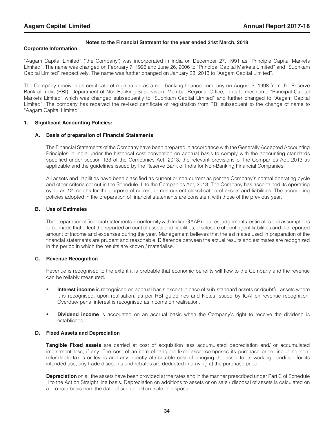#### **Notes to the Financial Statment for the year ended 31st March, 2018**

#### **Corporate Information**

"Aagam Capital Limited" ('the Company') was incorporated in India on December 27, 1991 as "Principle Capital Markets Limited". The name was changed on February 7, 1996 and June 26, 2006 to "Principal Capital Markets Limited" and "Subhkam Capital Limited" respectively. The name was further changed on January 23, 2013 to "Aagam Capital Limited".

The Company received its certificate of registration as a non-banking finance company on August 5, 1998 from the Reserve Bank of India (RBI), Department of Non-Banking Supervision, Mumbai Regional Office, in its former name "Principal Capital Markets Limited" which was changed subsequently to "Subhkam Capital Limited" and further changed to "Aagam Capital Limited". The company has received the revised certificate of registration from RBI subsequent to the change of name to "Aagam Capital Limited".

#### **1. Significant Accounting Policies:**

#### **A. Basis of preparation of Financial Statements**

The Financial Statements of the Company have been prepared in accordance with the Generally Accepted Accounting Principles in India under the historical cost convention on accrual basis to comply with the accounting standards specified under section 133 of the Companies Act, 2013, the relevant provisions of the Companies Act, 2013 as applicable and the guidelines issued by the Reserve Bank of India for Non-Banking Financial Companies.

All assets and liabilities have been classified as current or non-current as per the Company's normal operating cycle and other criteria set out in the Schedule III to the Companies Act, 2013. The Company has ascertained its operating cycle as 12 months for the purpose of current or non-current classification of assets and liabilities. The accounting policies adopted in the preparation of financial statements are consistent with those of the previous year.

#### **B. Use of Estimates**

The preparation of financial statements in conformity with Indian GAAP requires judgements, estimates and assumptions to be made that effect the reported amount of assets and liabilities, disclosure of contingent liabilities and the reported amount of income and expenses during the year. Management believes that the estimates used in preparation of the financial statements are prudent and reasonable. Difference between the actual results and estimates are recognized in the period in which the results are known / materialise.

#### **C. Revenue Recognition**

Revenue is recognised to the extent it is probable that economic benefits will flow to the Company and the revenue can be reliably measured.

- **Interest income** is recognised on accrual basis except in case of sub-standard assets or doubtful assets where it is recognised, upon realisation, as per RBI guidelines and Notes Issued by ICAI on revenue recognition. Overdue/ penal interest is recognised as income on realisation.
- **Dividend income** is accounted on an accrual basis when the Company's right to receive the dividend is established.

#### **D. Fixed Assets and Depreciation**

**Tangible Fixed assets** are carried at cost of acquisition less accumulated depreciation and/ or accumulated impairment loss, if any. The cost of an item of tangible fixed asset comprises its purchase price, including nonrefundable taxes or levies and any directly attributable cost of bringing the asset to its working condition for its intended use; any trade discounts and rebates are deducted in arriving at the purchase price.

**Depreciation** on all the assets have been provided at the rates and in the manner prescribed under Part C of Schedule II to the Act on Straight line basis. Depreciation on additions to assets or on sale / disposal of assets is calculated on a pro-rata basis from the date of such addition, sale or disposal.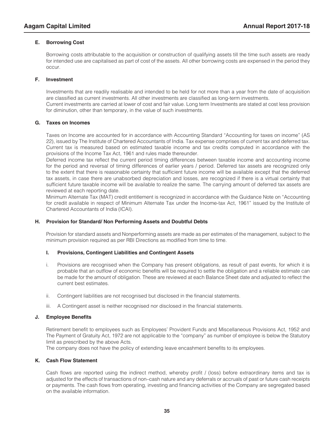#### **E. Borrowing Cost**

Borrowing costs attributable to the acquisition or construction of qualifying assets till the time such assets are ready for intended use are capitalised as part of cost of the assets. All other borrowing costs are expensed in the period they occur.

#### **F. Investment**

Investments that are readily realisable and intended to be held for not more than a year from the date of acquisition are classified as current investments. All other investments are classified as long-term investments. Current investments are carried at lower of cost and fair value. Long term Investments are stated at cost less provision for diminution, other than temporary, in the value of such investments.

#### **G. Taxes on Incomes**

Taxes on Income are accounted for in accordance with Accounting Standard "Accounting for taxes on income" (AS 22), issued by The Institute of Chartered Accountants of India. Tax expense comprises of current tax and deferred tax. Current tax is measured based on estimated taxable income and tax credits computed in accordance with the provisions of the Income Tax Act, 1961 and rules made thereunder.

Deferred income tax reflect the current period timing differences between taxable income and accounting income for the period and reversal of timing differences of earlier years / period. Deferred tax assets are recognized only to the extent that there is reasonable certainty that sufficient future income will be available except that the deferred tax assets, in case there are unabsorbed depreciation and losses, are recognized if there is a virtual certainty that sufficient future taxable income will be available to realize the same. The carrying amount of deferred tax assets are reviewed at each reporting date.

Minimum Alternate Tax (MAT) credit entitlement is recognized in accordance with the Guidance Note on "Accounting for credit available in respect of Minimum Alternate Tax under the Income-tax Act, 1961" issued by the Institute of Chartered Accountants of India (ICAI).

#### **H. Provision for Standard/ Non Performing Assets and Doubtful Debts**

Provision for standard assets and Nonperforming assets are made as per estimates of the management, subject to the minimum provision required as per RBI Directions as modified from time to time.

#### **I. Provisions, Contingent Liabilities and Contingent Assets**

- i. Provisions are recognised when the Company has present obligations, as result of past events, for which it is probable that an outflow of economic benefits will be required to settle the obligation and a reliable estimate can be made for the amount of obligation. These are reviewed at each Balance Sheet date and adjusted to reflect the current best estimates.
- ii. Contingent liabilities are not recognised but disclosed in the financial statements.
- iii. A Contingent asset is neither recognised nor disclosed in the financial statements.

#### **J. Employee Benefits**

Retirement benefit to employees such as Employees' Provident Funds and Miscellaneous Provisions Act, 1952 and The Payment of Gratuity Act, 1972 are not applicable to the "company" as number of employee is below the Statutory limit as prescribed by the above Acts.

The company does not have the policy of extending leave encashment benefits to its employees.

#### **K. Cash Flow Statement**

Cash flows are reported using the indirect method, whereby profit / (loss) before extraordinary items and tax is adjusted for the effects of transactions of non–cash nature and any deferrals or accruals of past or future cash receipts or payments. The cash flows from operating, investing and financing activities of the Company are segregated based on the available information.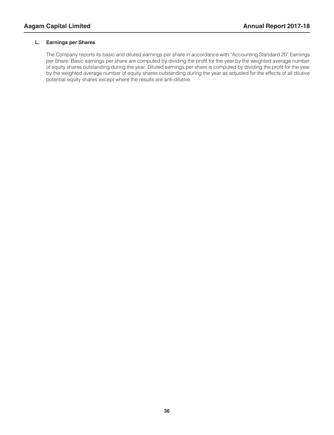#### **L. Earnings per Shares**

The Company reports its basic and diluted earnings per share in accordance with "Accounting Standard 20" Earnings per Share. Basic earnings per share are computed by dividing the profit for the year by the weighted average number of equity shares outstanding during the year. Diluted earnings per share is computed by dividing the profit for the year by the weighted average number of equity shares outstanding during the year as adjusted for the effects of all dilutive potential equity shares except where the results are anti-dilutive.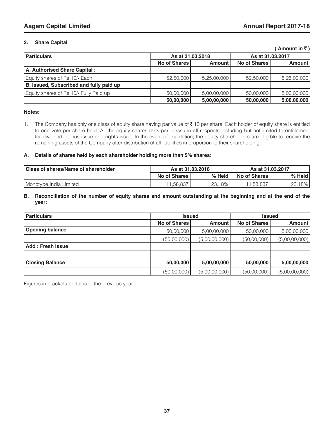#### **2. Share Capital**

#### **(Amount in**  $\bar{z}$ **)**

| <b>Particulars</b>                      |           | As at 31,03,2018<br>No of Shares<br><b>Amount</b> |           | As at 31.03.2017 |  |  |
|-----------------------------------------|-----------|---------------------------------------------------|-----------|------------------|--|--|
|                                         |           |                                                   |           | <b>Amount</b>    |  |  |
| A. Authorised Share Capital:            |           |                                                   |           |                  |  |  |
| Equity shares of Rs 10/- Each           | 52,50,000 | 5,25,00,000                                       | 52,50,000 | 5,25,00,000      |  |  |
| B. Issued, Subscribed and fully paid up |           |                                                   |           |                  |  |  |
| Equity shares of Rs 10/- Fully Paid up  | 50,00,000 | 5,00,00,000                                       | 50,00,000 | 5,00,00,000      |  |  |
|                                         | 50,00,000 | 5,00,00,000                                       | 50,00,000 | 5,00,00,000      |  |  |

#### **Notes:**

Ī

1. The Company has only one class of equity share having par value of ₹ 10 per share. Each holder of equity share is entitled to one vote per share held. All the equity shares rank pari passu in all respects including but not limited to entitlement for dividend, bonus issue and rights issue. In the event of liquidation, the equity shareholders are eligible to receive the remaining assets of the Company after distribution of all liabilities in proportion to their shareholding.

#### **A. Details of shares held by each shareholder holding more than 5% shares:**

| Class of shares/Name of shareholder | As at 31.03.2018 |          | As at 31.03.2017 |        |
|-------------------------------------|------------------|----------|------------------|--------|
|                                     | No of Shares     | $%$ Held | No of Shares     | % Held |
| Monotype India Limited              | 11.58.837        | 23.18%   | 11.58.837        | 23.18% |
|                                     |                  |          |                  |        |

#### **B. Reconciliation of the number of equity shares and amount outstanding at the beginning and at the end of the year:**

| <b>Particulars</b>      |                     | <b>Issued</b> | <b>Issued</b>       |               |  |
|-------------------------|---------------------|---------------|---------------------|---------------|--|
|                         | <b>No of Shares</b> | <b>Amount</b> | <b>No of Shares</b> | Amount        |  |
| <b>Opening balance</b>  | 50,00,000           | 5,00,00,000   | 50,00,000           | 5,00,00,000   |  |
|                         | (50,00,000)         | (5,00,00,000) | (50,00,000)         | (5,00,00,000) |  |
| <b>Add: Fresh Issue</b> |                     |               |                     |               |  |
|                         |                     |               |                     |               |  |
| <b>Closing Balance</b>  | 50,00,000           | 5,00,00,000   | 50,00,000           | 5,00,00,000   |  |
|                         | (50,00,000)         | (5,00,00,000) | (50,00,000)         | (5,00,00,000) |  |

Figures in brackets pertains to the previous year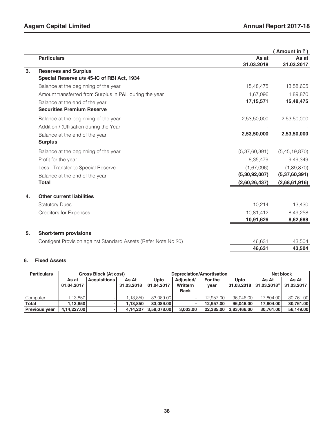|    |                                                                |               | (Amount in $\bar{z}$ ) |
|----|----------------------------------------------------------------|---------------|------------------------|
|    | <b>Particulars</b>                                             | As at         | As at                  |
|    |                                                                | 31.03.2018    | 31.03.2017             |
| 3. | <b>Reserves and Surplus</b>                                    |               |                        |
|    | Special Reserve u/s 45-IC of RBI Act, 1934                     |               |                        |
|    | Balance at the beginning of the year                           | 15,48,475     | 13,58,605              |
|    | Amount transferred from Surplus in P&L during the year         | 1,67,096      | 1,89,870               |
|    | Balance at the end of the year                                 | 17, 15, 571   | 15,48,475              |
|    | <b>Securities Premium Reserve</b>                              |               |                        |
|    | Balance at the beginning of the year                           | 2,53,50,000   | 2,53,50,000            |
|    | Addition / (Utlisation during the Year                         |               |                        |
|    | Balance at the end of the year                                 | 2,53,50,000   | 2,53,50,000            |
|    | <b>Surplus</b>                                                 |               |                        |
|    | Balance at the beginning of the year                           | (5,37,60,391) | (5,45,19,870)          |
|    | Profit for the year                                            | 8,35,479      | 9,49,349               |
|    | Less: Transfer to Special Reserve                              | (1,67,096)    | (1,89,870)             |
|    | Balance at the end of the year                                 | (5,30,92,007) | (5,37,60,391)          |
|    | <b>Total</b>                                                   | (2,60,26,437) | (2,68,61,916)          |
| 4. | <b>Other current liabilities</b>                               |               |                        |
|    | <b>Statutory Dues</b>                                          | 10,214        | 13,430                 |
|    | <b>Creditors for Expenses</b>                                  | 10,81,412     | 8,49,258               |
|    |                                                                | 10,91,626     | 8,62,688               |
| 5. | <b>Short-term provisions</b>                                   |               |                        |
|    | Contigent Provision against Standard Assets (Refer Note No 20) | 46,631        | 43,504                 |
|    |                                                                | 46,631        | 43,504                 |
|    |                                                                |               |                        |

#### **6. Fixed Assets**

| <b>Particulars</b>   | <b>Gross Block (At cost)</b> |                     |            | Depreciation/Amortisation |             |           |                         | Net block              |            |
|----------------------|------------------------------|---------------------|------------|---------------------------|-------------|-----------|-------------------------|------------------------|------------|
|                      | As at                        | <b>Acquisitions</b> | As At      | Upto                      | Adiusted/   | For the   | Upto                    | As At                  | As At      |
|                      | 01.04.2017                   |                     | 31.03.2018 | 01.04.2017                | Writtern    | year      |                         | 31.03.2018 31.03.2018" | 31.03.2017 |
|                      |                              |                     |            |                           | <b>Back</b> |           |                         |                        |            |
| Computer             | 1.13.850                     |                     | 1.13.850   | 83,089,00                 |             | 12.957.00 | 96.046.00               | 17.804.00              | 30.761.00  |
| <b>Total</b>         | 1.13.850                     |                     | 1.13.850   | 83.089.00                 |             | 12.957.00 | 96.046.00               | 17,804.00              | 30,761.00  |
| <b>Previous year</b> | 4,14,227.00                  |                     | 4.14.227   | 3,58,078.00               | 3.003.00    |           | 22,385.00   3,83,466.00 | 30.761.00              | 56,149.00  |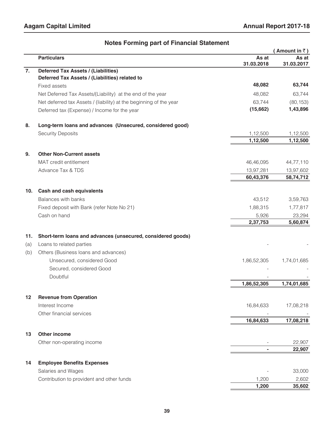|     |                                                                    |                     | (Amount in $\bar{z}$ ) |
|-----|--------------------------------------------------------------------|---------------------|------------------------|
|     | <b>Particulars</b>                                                 | As at<br>31.03.2018 | As at<br>31.03.2017    |
| 7.  | <b>Deferred Tax Assets / (Liabilities)</b>                         |                     |                        |
|     | Deferred Tax Assets / (Liabilities) related to                     |                     |                        |
|     | <b>Fixed assets</b>                                                | 48,082              | 63,744                 |
|     | Net Deferred Tax Assets/(Liability) at the end of the year         | 48,082              | 63,744                 |
|     | Net deferred tax Assets / (liability) at the beginning of the year | 63,744              | (80, 153)              |
|     | Deferred tax (Expense) / Income for the year                       | (15,662)            | 1,43,896               |
| 8.  | Long-term loans and advances (Unsecured, considered good)          |                     |                        |
|     | <b>Security Deposits</b>                                           | 1,12,500            | 1,12,500               |
|     |                                                                    | 1,12,500            | 1,12,500               |
| 9.  | <b>Other Non-Current assets</b>                                    |                     |                        |
|     | MAT credit entitlement                                             | 46,46,095           | 44,77,110              |
|     | Advance Tax & TDS                                                  | 13,97,281           | 13,97,602              |
|     |                                                                    | 60,43,376           | 58,74,712              |
| 10. | Cash and cash equivalents                                          |                     |                        |
|     | <b>Balances with banks</b>                                         | 43,512              | 3,59,763               |
|     | Fixed deposit with Bank (refer Note No 21)                         | 1,88,315            | 1,77,817               |
|     | Cash on hand                                                       | 5,926               | 23,294                 |
|     |                                                                    | 2,37,753            | 5,60,874               |
| 11. | Short-term loans and advances (unsecured, considered goods)        |                     |                        |
| (a) | Loans to related parties                                           |                     |                        |
| (b) | Others (Business loans and advances)                               |                     |                        |
|     | Unsecured, considered Good                                         | 1,86,52,305         | 1,74,01,685            |
|     | Secured, considered Good                                           |                     |                        |
|     | Doubtful                                                           |                     |                        |
|     |                                                                    | 1,86,52,305         | 1,74,01,685            |
| 12  | <b>Revenue from Operation</b>                                      |                     |                        |
|     | Interest Income                                                    | 16,84,633           | 17,08,218              |
|     | Other financial services                                           |                     |                        |
|     |                                                                    | 16,84,633           | 17,08,218              |
| 13  | <b>Other income</b>                                                |                     |                        |
|     | Other non-operating income                                         |                     | 22,907                 |
|     |                                                                    |                     | 22,907                 |
| 14  | <b>Employee Benefits Expenses</b>                                  |                     |                        |
|     | Salaries and Wages                                                 |                     | 33,000                 |
|     | Contribution to provident and other funds                          | 1,200               | 2,602                  |
|     |                                                                    | 1,200               | 35,602                 |

#### **Notes Forming part of Financial Statement**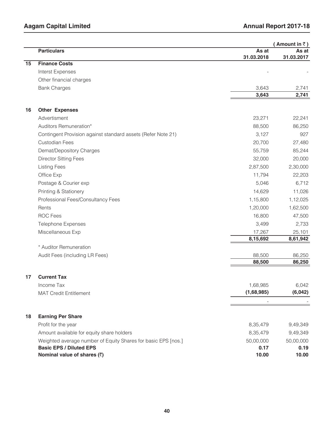|    |                                                               |                     | (Amount in $\bar{z}$ ) |
|----|---------------------------------------------------------------|---------------------|------------------------|
|    | <b>Particulars</b>                                            | As at<br>31.03.2018 | As at<br>31.03.2017    |
| 15 | <b>Finance Costs</b>                                          |                     |                        |
|    | Interst Expenses                                              |                     |                        |
|    | Other financial charges                                       |                     |                        |
|    | <b>Bank Charges</b>                                           | 3,643               | 2,741                  |
|    |                                                               | 3,643               | 2,741                  |
| 16 | <b>Other Expenses</b>                                         |                     |                        |
|    | Advertisment                                                  | 23,271              |                        |
|    |                                                               |                     | 22,241                 |
|    | Auditors Remuneration*                                        | 88,500              | 86,250                 |
|    | Contingent Provision against standard assets (Refer Note 21)  | 3,127               | 927                    |
|    | <b>Custodian Fees</b>                                         | 20,700              | 27,480                 |
|    | Demat/Depository Charges                                      | 55,759              | 85,244                 |
|    | <b>Director Sitting Fees</b>                                  | 32,000              | 20,000                 |
|    | <b>Listing Fees</b>                                           | 2,87,500            | 2,30,000               |
|    | Office Exp                                                    | 11,794              | 22,203                 |
|    | Postage & Courier exp                                         | 5,046               | 6,712                  |
|    | Printing & Stationery                                         | 14,629              | 11,026                 |
|    | Professional Fees/Consultancy Fees                            | 1,15,800            | 1,12,025               |
|    | Rents                                                         | 1,20,000            | 1,62,500               |
|    | <b>ROC Fees</b>                                               | 16,800              | 47,500                 |
|    | <b>Telephone Expenses</b>                                     | 3,499               | 2,733                  |
|    | Miscellaneous Exp                                             | 17,267              | 25,101                 |
|    |                                                               | 8,15,692            | 8,61,942               |
|    | * Auditor Remuneration                                        |                     |                        |
|    | Audit Fees (including LR Fees)                                | 88,500              | 86,250                 |
|    |                                                               | 88,500              | 86,250                 |
| 17 | <b>Current Tax</b>                                            |                     |                        |
|    | Income Tax                                                    | 1,68,985            | 6,042                  |
|    | <b>MAT Credit Entitlement</b>                                 | (1,68,985)          | (6,042)                |
|    |                                                               |                     |                        |
| 18 | <b>Earning Per Share</b>                                      |                     |                        |
|    | Profit for the year                                           | 8,35,479            | 9,49,349               |
|    | Amount available for equity share holders                     | 8,35,479            | 9,49,349               |
|    | Weighted average number of Equity Shares for basic EPS [nos.] | 50,00,000           | 50,00,000              |
|    | <b>Basic EPS / Diluted EPS</b>                                | 0.17                | 0.19                   |
|    | Nominal value of shares (₹)                                   | 10.00               | 10.00                  |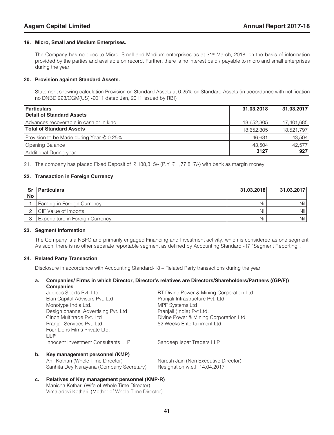#### **19. Micro, Small and Medium Enterprises.**

The Company has no dues to Micro, Small and Medium enterprises as at 31st March, 2018, on the basis of information provided by the parties and available on record. Further, there is no interest paid / payable to micro and small enterprises during the year.

#### **20. Provision against Standard Assets.**

Statement showing calculation Provision on Standard Assets at 0.25% on Standard Assets (in accordance with notification no DNBD 223/CGM(US) -2011 dated Jan, 2011 issued by RBI)

| Particulars                              | 31.03.2018 | 31.03.2017 |
|------------------------------------------|------------|------------|
| Detail of Standard Assets                |            |            |
| Advances recoverable in cash or in kind  | 18,652,305 | 17,401,685 |
| <b>Total of Standard Assets</b>          | 18,652,305 | 18,521,797 |
| Provision to be Made during Year @ 0.25% | 46,631     | 43,504     |
| Opening Balance                          | 43,504     | 42,577     |
| Additional During year                   | 3127       | 927        |

21. The company has placed Fixed Deposit of  $\bar{\tau}$  188,315/- (P.Y  $\bar{\tau}$  1,77,817/-) with bank as margin money.

#### **22. Transaction in Foreign Currency**

|           | <b>Sr</b> Particulars           | 31.03.2018 | 31.03.2017 |
|-----------|---------------------------------|------------|------------|
| <b>No</b> |                                 |            |            |
|           | Earning in Foreign Currency     | Nill       | Nill       |
|           | <b>ICIF Value of Imports</b>    | Nill       | Nill       |
|           | Expenditure in Foreign Currency | Nill       | Nill       |

#### **23. Segment Information**

The Company is a NBFC and primarily engaged Financing and Investment activity, which is considered as one segment. As such, there is no other separate reportable segment as defined by Accounting Standard -17 "Segment Reporting".

#### **24. Related Party Transaction**

Disclosure in accordance with Accounting Standard-18 – Related Party transactions during the year

## **a. Companies/ Firms in which Director, Director's relatives are Directors/Shareholders/Partners ((GP/F))**

**Companies**<br>Jupicos Sports Pvt. Ltd BT Divine Power & Mining Corporation Ltd Elan Capital Advisors Pvt. Ltd Pranjali Infrastructure Pvt. Ltd Monotype India Ltd. MONOTER Systems Ltd Design channel Advertising Pvt. Ltd Pranjali (India) Pvt Ltd. Cinch Multitrade Pvt. Ltd Divine Power & Mining Corporation Ltd. Pranjali Services Pvt. Ltd. 652 Weeks Entertainment Ltd. Four Lions Films Private Ltd.  **LLP** Innocent Investment Consultants LLP Sandeep Ispat Traders LLP **b. Key management personnel (KMP)** Anil Kothari (Whole Time Director) Naresh Jain (Non Executive Director)

### Sanhita Dey Narayana (Company Secretary) Resignation w.e.f 14.04.2017

**c. Relatives of Key management personnel (KMP-R)** Manisha Kothari (Wife of Whole Time Director) Vimaladevi Kothari (Mother of Whole Time Director)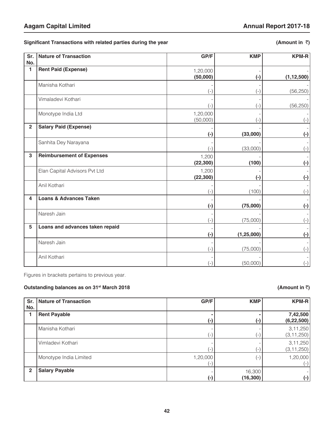Significant Transactions with related parties during the year (Amount in ₹)

| Sr.            | <b>Nature of Transaction</b>      | GP/F      | <b>KMP</b>   | <b>KPM-R</b> |
|----------------|-----------------------------------|-----------|--------------|--------------|
| No.            |                                   |           |              |              |
| 1              | <b>Rent Paid (Expense)</b>        | 1,20,000  |              |              |
|                |                                   | (50,000)  | $(-)$        | (1, 12, 500) |
|                | Manisha Kothari                   |           |              |              |
|                |                                   | $(-)$     | $(-)$        | (56, 250)    |
|                | Vimaladevi Kothari                |           |              |              |
|                |                                   | $(-)$     | (-)          | (56, 250)    |
|                | Monotype India Ltd                | 1,20,000  |              |              |
|                |                                   | (50,000)  |              | $(-)$        |
| $\overline{2}$ | <b>Salary Paid (Expense)</b>      |           |              |              |
|                |                                   | $(\cdot)$ | (33,000)     | $(\cdot)$    |
|                | Sanhita Dey Narayana              |           |              |              |
|                |                                   | $(-)$     | (33,000)     | $(-)$        |
| 3              | <b>Reimbursement of Expenses</b>  | 1,200     |              |              |
|                |                                   | (22, 300) | (100)        | $(\cdot)$    |
|                | Elan Capital Advisors Pvt Ltd     | 1,200     |              |              |
|                |                                   | (22, 300) | (-)          | $(\cdot)$    |
|                | Anil Kothari                      |           |              |              |
|                |                                   | $(-)$     | (100)        | $(-)$        |
| 4              | <b>Loans &amp; Advances Taken</b> |           |              |              |
|                |                                   |           | (75,000)     |              |
|                |                                   | $(-)$     |              | $(\cdot)$    |
|                | Naresh Jain                       |           |              |              |
|                |                                   | $(-)$     | (75,000)     | $(-)$        |
| 5              | Loans and advances taken repaid   |           |              |              |
|                |                                   | $(-)$     | (1, 25, 000) | $(-)$        |
|                | Naresh Jain                       |           |              |              |
|                |                                   | $(-)$     | (75,000)     | $(-)$        |
|                | Anil Kothari                      |           |              |              |
|                |                                   | $(-)$     | (50,000)     | $(-)$        |

Figures in brackets pertains to previous year.

#### **Outstanding balances as on 31<sup>st</sup> March 2018 (Amount in ₹) (Amount in ₹)**

|              | Sr. Nature of Transaction | GP/F           | <b>KMP</b>               | <b>KPM-R</b> |
|--------------|---------------------------|----------------|--------------------------|--------------|
| No.          |                           |                |                          |              |
|              | <b>Rent Payable</b>       |                |                          | 7,42,500     |
|              |                           | $(\cdot)$      | (-)                      | (6, 22, 500) |
|              | Manisha Kothari           |                |                          | 3, 11, 250   |
|              |                           | $\overline{a}$ | $-1$                     | (3, 11, 250) |
|              | Vimladevi Kothari         |                |                          | 3, 11, 250   |
|              |                           | $\overline{a}$ | $-1$                     | (3, 11, 250) |
|              | Monotype India Limited    | 1,20,000       | $\overline{\phantom{a}}$ | 1,20,000     |
|              |                           | $\overline{ }$ |                          | $(-)$        |
| $\mathbf{2}$ | <b>Salary Payable</b>     |                | 16,300                   |              |
|              |                           | $(-)$          | (16, 300)                | $(\cdot)$    |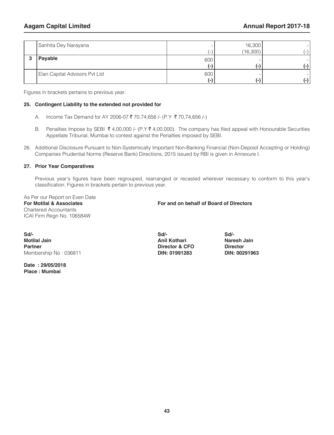| Sanhita Dey Narayana          |     | 16,300<br>(16, 300) | - 1 |
|-------------------------------|-----|---------------------|-----|
| Payable                       | 600 | ٠H                  |     |
| Elan Capital Advisors Pvt Ltd | 600 | r – I               |     |

Figures in brackets pertains to previous year.

#### **25. Contingent Liability to the extended not provided for**

- A. Income Tax Demand for AY 2006-07 ₹ 70,74,656 /- (P.Y ₹ 70,74,656 /-)
- B. Penalties Impose by SEBI  $\bar{\tau}$  4,00,000 /- (P.Y  $\bar{\tau}$  4,00,000). The company has filed appeal with Honourable Securities Appellate Tribunal, Mumbai to contest against the Penalties imposed by SEBI.
- 26. Additional Disclosure Pursuant to Non-Systemically Important Non-Banking Financial (Non-Deposit Accepting or Holding) Companies Prudential Norms (Reserve Bank) Directions, 2015 issued by RBI is given in Annexure I.

#### **27. Prior Year Comparatives**

Previous year's figures have been regrouped, rearranged or recasted wherever necessary to conform to this year's classification. Figures in brackets pertain to previous year.

As Per our Report on Even Date Chartered Accountants ICAI Firm Regn No. 106584W

#### **For Motilal & Associates For and on behalf of Board of Directors**

**Sd/- Sd/- Sd/- Motilal Jain Motilal Jain Anil Kothari Naresh Jain Naresh Jain Partner Naresh Jain Partner Director Membership No: 036811** 

**Date : 29/05/2018 Place : Mumbai**

**Partner Director & CFO Director DIN: 01991283 DIN: 00291963**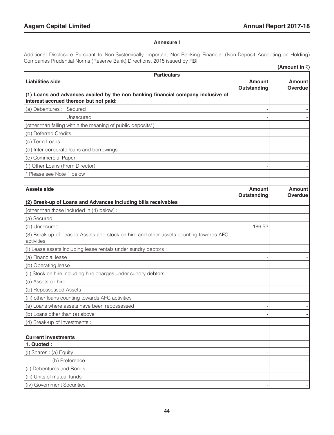#### **Annexure I**

Additional Disclosure Pursuant to Non-Systemically Important Non-Banking Financial (Non-Deposit Accepting or Holding) Companies Prudential Norms (Reserve Bank) Directions, 2015 issued by RBI

|                                                                                                                            |                              | (Amount in ₹)                   |  |
|----------------------------------------------------------------------------------------------------------------------------|------------------------------|---------------------------------|--|
| <b>Particulars</b>                                                                                                         |                              |                                 |  |
| <b>Liabilities side</b>                                                                                                    | <b>Amount</b><br>Outstanding | <b>Amount</b><br><b>Overdue</b> |  |
| (1) Loans and advances availed by the non banking financial company inclusive of<br>interest accrued thereon but not paid: |                              |                                 |  |
| (a) Debentures : Secured                                                                                                   |                              |                                 |  |
| Unsecured                                                                                                                  |                              |                                 |  |
| (other than falling within the meaning of public deposits*)                                                                |                              |                                 |  |
| (b) Deferred Credits                                                                                                       |                              |                                 |  |
| (c) Term Loans                                                                                                             |                              |                                 |  |
| (d) Inter-corporate loans and borrowings                                                                                   |                              |                                 |  |
| (e) Commercial Paper                                                                                                       |                              |                                 |  |
| (f) Other Loans (From Director)                                                                                            |                              |                                 |  |
| * Please see Note 1 below                                                                                                  |                              |                                 |  |
|                                                                                                                            |                              |                                 |  |
| <b>Assets side</b>                                                                                                         | <b>Amount</b><br>Outstanding | <b>Amount</b><br>Overdue        |  |
| (2) Break-up of Loans and Advances including bills receivables                                                             |                              |                                 |  |
| [other than those included in (4) below] :                                                                                 |                              |                                 |  |
| (a) Secured                                                                                                                |                              |                                 |  |
| (b) Unsecured                                                                                                              | 186.52                       |                                 |  |
| (3) Break up of Leased Assets and stock on hire and other assets counting towards AFC<br>activities                        |                              |                                 |  |
| (i) Lease assets including lease rentals under sundry debtors :                                                            |                              |                                 |  |
| (a) Financial lease                                                                                                        |                              |                                 |  |
| (b) Operating lease                                                                                                        |                              |                                 |  |
| (ii) Stock on hire including hire charges under sundry debtors:                                                            |                              |                                 |  |
| (a) Assets on hire                                                                                                         |                              |                                 |  |
| (b) Repossessed Assets                                                                                                     |                              |                                 |  |
| (iii) other loans counting towards AFC activities                                                                          |                              |                                 |  |
| (a) Loans where assets have been repossessed                                                                               |                              |                                 |  |
| (b) Loans other than (a) above                                                                                             |                              |                                 |  |
| (4) Break-up of Investments :                                                                                              |                              |                                 |  |
|                                                                                                                            |                              |                                 |  |
| <b>Current Investments</b>                                                                                                 |                              |                                 |  |
| 1. Quoted :                                                                                                                |                              |                                 |  |
| (i) Shares: (a) Equity                                                                                                     |                              |                                 |  |
| (b) Preference                                                                                                             |                              |                                 |  |
| (ii) Debentures and Bonds                                                                                                  |                              |                                 |  |
| (iii) Units of mutual funds                                                                                                |                              |                                 |  |
| (iv) Government Securities                                                                                                 |                              |                                 |  |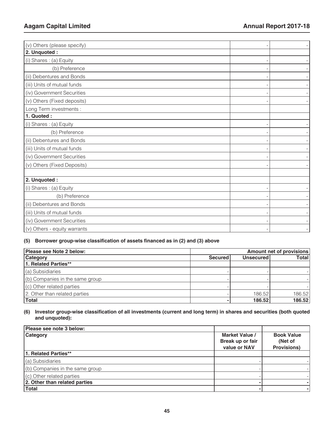| (b) Preference<br>(iii) Units of mutual funds<br>(iv) Government Securities<br>(v) Others (Fixed deposits)<br>(i) Shares: (a) Equity<br>(b) Preference<br>(ii) Debentures and Bonds<br>(iii) Units of mutual funds<br>(v) Others (Fixed Deposits)<br>(i) Shares: (a) Equity<br>(b) Preference | (v) Others (please specify)  |  |
|-----------------------------------------------------------------------------------------------------------------------------------------------------------------------------------------------------------------------------------------------------------------------------------------------|------------------------------|--|
|                                                                                                                                                                                                                                                                                               | 2. Unquoted :                |  |
|                                                                                                                                                                                                                                                                                               | (i) Shares: (a) Equity       |  |
|                                                                                                                                                                                                                                                                                               |                              |  |
|                                                                                                                                                                                                                                                                                               | (ii) Debentures and Bonds    |  |
|                                                                                                                                                                                                                                                                                               |                              |  |
|                                                                                                                                                                                                                                                                                               |                              |  |
|                                                                                                                                                                                                                                                                                               |                              |  |
|                                                                                                                                                                                                                                                                                               | Long Term investments :      |  |
|                                                                                                                                                                                                                                                                                               | 1. Quoted:                   |  |
|                                                                                                                                                                                                                                                                                               |                              |  |
|                                                                                                                                                                                                                                                                                               |                              |  |
|                                                                                                                                                                                                                                                                                               |                              |  |
|                                                                                                                                                                                                                                                                                               |                              |  |
|                                                                                                                                                                                                                                                                                               | (iv) Government Securities   |  |
|                                                                                                                                                                                                                                                                                               |                              |  |
|                                                                                                                                                                                                                                                                                               |                              |  |
|                                                                                                                                                                                                                                                                                               | 2. Unquoted :                |  |
|                                                                                                                                                                                                                                                                                               |                              |  |
|                                                                                                                                                                                                                                                                                               |                              |  |
|                                                                                                                                                                                                                                                                                               | (ii) Debentures and Bonds    |  |
|                                                                                                                                                                                                                                                                                               | (iii) Units of mutual funds  |  |
|                                                                                                                                                                                                                                                                                               | (iv) Government Securities   |  |
|                                                                                                                                                                                                                                                                                               | (v) Others - equity warrants |  |

#### **(5) Borrower group-wise classification of assets financed as in (2) and (3) above**

| Please see Note 2 below:        |                | Amount net of provisions |              |  |  |
|---------------------------------|----------------|--------------------------|--------------|--|--|
| <b>Category</b>                 | <b>Secured</b> | <b>Unsecured</b>         | <b>Total</b> |  |  |
| 1. Related Parties**            |                |                          |              |  |  |
| (a) Subsidiaries                |                |                          |              |  |  |
| (b) Companies in the same group |                |                          |              |  |  |
| (c) Other related parties       |                |                          |              |  |  |
| 2. Other than related parties   |                | 186.52                   | 186.52       |  |  |
| <b>Total</b>                    |                | 186.52                   | 186.52       |  |  |

#### **(6) Investor group-wise classification of all investments (current and long term) in shares and securities (both quoted and unquoted):**

| Please see note 3 below:           |                                                    |                                                    |
|------------------------------------|----------------------------------------------------|----------------------------------------------------|
| Category                           | Market Value /<br>Break up or fair<br>value or NAV | <b>Book Value</b><br>(Net of<br><b>Provisions)</b> |
| 1. Related Parties**               |                                                    |                                                    |
| (a) Subsidiaries                   |                                                    |                                                    |
| $($ b) Companies in the same group |                                                    |                                                    |
| (c) Other related parties          |                                                    |                                                    |
| 2. Other than related parties      |                                                    |                                                    |
| <b>Total</b>                       |                                                    |                                                    |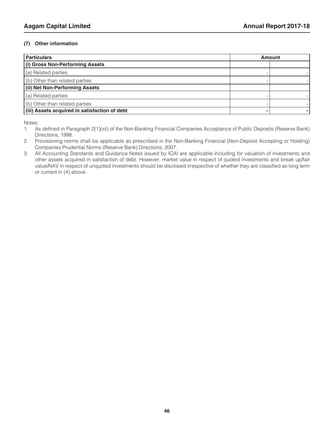#### **(7) Other information**

| <b>Particulars</b>                            | <b>Amount</b> |  |
|-----------------------------------------------|---------------|--|
| (i) Gross Non-Performing Assets               |               |  |
| (a) Related parties                           |               |  |
| (b) Other than related parties                |               |  |
| (ii) Net Non-Performing Assets                |               |  |
| (a) Related parties                           |               |  |
| (b) Other than related parties                |               |  |
| (iii) Assets acquired in satisfaction of debt |               |  |

Notes:

- 2. Provisioning norms shall be applicable as prescribed in the Non-Banking Financial (Non-Deposit Accepting or Holding) Companies Prudential Norms (Reserve Bank) Directions, 2007.
- 3. All Accounting Standards and Guidance Notes issued by ICAI are applicable including for valuation of investments and other assets acquired in satisfaction of debt. However, market value in respect of quoted investments and break up/fair value/NAV in respect of unquoted investments should be disclosed irrespective of whether they are classified as long term or current in (4) above.

<sup>1.</sup> As defined in Paragraph 2(1)(xii) of the Non-Banking Financial Companies Acceptance of Public Deposits (Reserve Bank) Directions, 1998.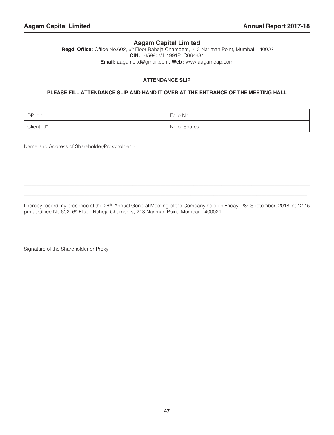#### **Aagam Capital Limited**

 **Regd. Office:** Office No.602, 6th Floor,Raheja Chambers, 213 Nariman Point, Mumbai – 400021. **CIN:** L65990MH1991PLC064631 **Email:** aagamcltd@gmail.com, **Web:** www.aagamcap.com

#### **ATTENDANCE SLIP**

#### **PLEASE FILL ATTENDANCE SLIP AND HAND IT OVER AT THE ENTRANCE OF THE MEETING HALL**

| $\vert$ DP id $*$ | Folio No.    |
|-------------------|--------------|
| Client id*        | No of Shares |

\_\_\_\_\_\_\_\_\_\_\_\_\_\_\_\_\_\_\_\_\_\_\_\_\_\_\_\_\_\_\_\_\_\_\_\_\_\_\_\_\_\_\_\_\_\_\_\_\_\_\_\_\_\_\_\_\_\_\_\_\_\_\_\_\_\_\_\_\_\_\_\_\_\_\_\_\_\_\_\_\_\_\_\_\_\_\_\_\_\_\_\_\_\_\_\_\_\_\_\_\_\_\_\_\_\_\_\_\_\_\_\_\_ \_\_\_\_\_\_\_\_\_\_\_\_\_\_\_\_\_\_\_\_\_\_\_\_\_\_\_\_\_\_\_\_\_\_\_\_\_\_\_\_\_\_\_\_\_\_\_\_\_\_\_\_\_\_\_\_\_\_\_\_\_\_\_\_\_\_\_\_\_\_\_\_\_\_\_\_\_\_\_\_\_\_\_\_\_\_\_\_\_\_\_\_\_\_\_\_\_\_\_\_\_\_\_\_\_\_\_\_\_\_\_\_ \_\_\_\_\_\_\_\_\_\_\_\_\_\_\_\_\_\_\_\_\_\_\_\_\_\_\_\_\_\_\_\_\_\_\_\_\_\_\_\_\_\_\_\_\_\_\_\_\_\_\_\_\_\_\_\_\_\_\_\_\_\_\_\_\_\_\_\_\_\_\_\_\_\_\_\_\_\_\_\_\_\_\_\_\_\_\_\_\_\_\_\_\_\_\_\_\_\_\_\_\_\_\_\_\_\_\_\_\_\_\_\_\_ \_\_\_\_\_\_\_\_\_\_\_\_\_\_\_\_\_\_\_\_\_\_\_\_\_\_\_\_\_\_\_\_\_\_\_\_\_\_\_\_\_\_\_\_\_\_\_\_\_\_\_\_\_\_\_\_\_\_\_\_\_\_\_\_\_\_\_\_\_\_\_\_\_\_\_\_\_\_\_\_\_\_\_\_\_\_\_\_\_\_\_\_\_\_\_\_\_\_\_\_\_\_\_\_\_\_\_\_\_\_\_\_

Name and Address of Shareholder/Proxyholder :-

I hereby record my presence at the 26<sup>th</sup> Annual General Meeting of the Company held on Friday, 28<sup>th</sup> September, 2018 at 12:15 pm at Office No.602, 6<sup>th</sup> Floor, Raheja Chambers, 213 Nariman Point, Mumbai - 400021.

\_\_\_\_\_\_\_\_\_\_\_\_\_\_\_\_\_\_\_\_\_\_\_\_\_\_\_\_\_\_\_ Signature of the Shareholder or Proxy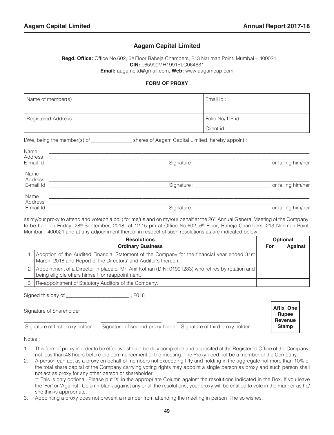**Affix One Rupee Revenue Stamp**

#### **Aagam Capital Limited**

Regd. Office: Office No.602, 6<sup>th</sup> Floor, Raheja Chambers, 213 Nariman Point. Mumbai – 400021. **CIN:** L65990MH1991PLC064631 **Email:** aagamcltd@gmail.com, **Web:** www.aagamcap.com

#### **FORM OF PROXY**

| Name of member(s):  | Email id:       |
|---------------------|-----------------|
| Registered Address: | Folio No/DP id: |
|                     | Client id:      |

I/We, being the member(s) of \_\_\_\_\_\_\_\_\_\_\_\_\_\_\_\_ shares of Aagam Capital Limited, hereby appoint :

as my/our proxy to attend and vote(on a poll) for me/us and on my/our behalf at the 26<sup>th</sup> Annual General Meeting of the Company, to be held on Friday, 28<sup>th</sup> September, 2018 at 12:15 pm at Office No.602, 6<sup>th</sup> Floor, Raheja Chambers, 213 Nariman Point, Mumbai – 400021 and at any adjournment thereof in respect of such resolutions as are indicated below :

| <b>Resolutions</b>                                                                                                                                              |     | <b>Optional</b> |
|-----------------------------------------------------------------------------------------------------------------------------------------------------------------|-----|-----------------|
| <b>Ordinary Business</b>                                                                                                                                        | For | <b>Against</b>  |
| Adoption of the Audited Financial Statement of the Company for the financial year ended 31st<br>March, 2018 and Report of the Directors' and Auditor's thereon. |     |                 |
| Appointment of a Director in place of Mr. Anil Kothari (DIN: 01991283) who retires by rotation and  <br>being eligible offers himself for reappointment.        |     |                 |
| Re-appointment of Statutory Auditors of the Company.                                                                                                            |     |                 |

Signed this day of \_\_\_\_\_\_\_\_\_\_\_\_\_\_\_\_\_\_\_\_\_\_\_\_\_ , 2018

 $\_$ Signature of Shareholder

Signature of first proxy holder Signature of second proxy holder Signature of third proxy holder

\_\_\_\_\_\_\_\_\_\_\_\_\_\_\_\_\_\_\_\_\_\_\_\_\_ \_\_\_\_\_\_\_\_\_\_\_\_\_\_\_\_\_\_\_\_\_\_\_\_ \_\_\_\_\_\_\_\_\_\_\_\_\_\_\_\_\_\_\_\_\_\_\_\_\_

Notes :

Ī

- 1. This form of proxy in order to be effective should be duly completed and deposited at the Registered Office of the Company, not less than 48 hours before the commencement of the meeting. The Proxy need not be a member of the Company.
- 2. A person can act as a proxy on behalf of members not exceeding fifty and holding in the aggregate not more than 10% of the total share capital of the Company carrying voting rights may appoint a single person as proxy and such person shall not act as proxy for any other person or shareholder.

\*\* This is only optional. Please put 'X' in the appropriate Column against the resolutions indicated in the Box. If you leave the 'For' or 'Against ' Column blank against any or all the resolutions, your proxy will be entitled to vote in the manner as he/ she thinks appropriate.

3. Appointing a proxy does not prevent a member from attending the meeting in person if he so wishes.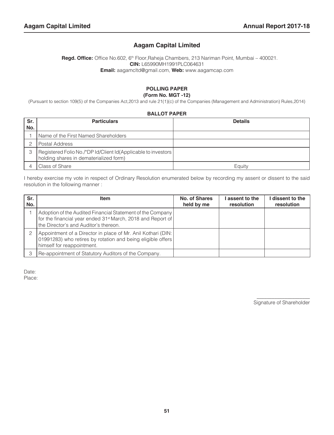#### **Aagam Capital Limited**

**Regd. Office:** Office No.602, 6<sup>th</sup> Floor, Raheja Chambers, 213 Nariman Point, Mumbai - 400021. **CIN:** L65990MH1991PLC064631 **Email:** aagamcltd@gmail.com, **Web:** www.aagamcap.com

#### **POLLING PAPER (Form No. MGT -12)**

(Pursuant to section 109(5) of the Companies Act,2013 and rule 21(1)(c) of the Companies (Management and Administration) Rules,2014)

#### **BALLOT PAPER**

| Sr.<br>No. | <b>Particulars</b>                                                                                      | <b>Details</b> |
|------------|---------------------------------------------------------------------------------------------------------|----------------|
|            | Name of the First Named Shareholders                                                                    |                |
|            | Postal Address                                                                                          |                |
|            | Registered Folio No./*DP Id/Client Id(Applicable to investors<br>holding shares in dematerialized form) |                |
|            | l Class of Share                                                                                        | Eauity         |

I hereby exercise my vote in respect of Ordinary Resolution enumerated below by recording my assent or dissent to the said resolution in the following manner :

| Sr.<br>No. | <b>Item</b>                                                                                                                                                                    | No. of Shares<br>held by me | I assent to the<br>resolution | dissent to the<br>resolution |
|------------|--------------------------------------------------------------------------------------------------------------------------------------------------------------------------------|-----------------------------|-------------------------------|------------------------------|
|            | Adoption of the Audited Financial Statement of the Company<br>for the financial year ended 31 <sup>st</sup> March, 2018 and Report of<br>the Director's and Auditor's thereon. |                             |                               |                              |
|            | Appointment of a Director in place of Mr. Anil Kothari (DIN:<br>01991283) who retires by rotation and being eligible offers<br>himself for reappointment.                      |                             |                               |                              |
|            | Re-appointment of Statutory Auditors of the Company.                                                                                                                           |                             |                               |                              |

Date: Place:

Signature of Shareholder

 $\mathcal{L}_\text{max}$  and  $\mathcal{L}_\text{max}$  are the set of  $\mathcal{L}_\text{max}$  and  $\mathcal{L}_\text{max}$  are the set of  $\mathcal{L}_\text{max}$